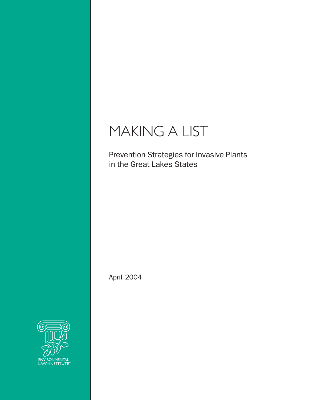# MAKING A LIST

Prevention Strategies for Invasive Plants in the Great Lakes States

April 2004

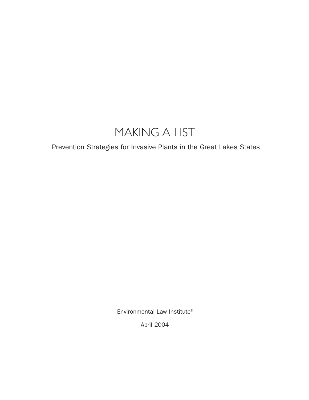## MAKING A LIST

Prevention Strategies for Invasive Plants in the Great Lakes States

Environmental Law Institute®

April 2004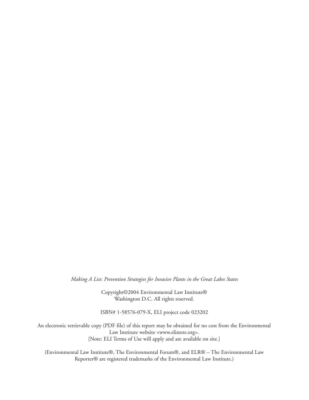*Making A List: Prevention Strategies for Invasive Plants in the Great Lakes States*

Copyright©2004 Environmental Law Institute® Washington D.C. All rights reserved.

ISBN# 1-58576-079-X, ELI project code 023202

An electronic retrievable copy (PDF file) of this report may be obtained for no cost from the Environmental Law Institute website <www.elistore.org>. [Note: ELI Terms of Use will apply and are available on site.]

(Environmental Law Institute®, The Environmental Forum®, and ELR® – The Environmental Law Reporter® are registered trademarks of the Environmental Law Institute.)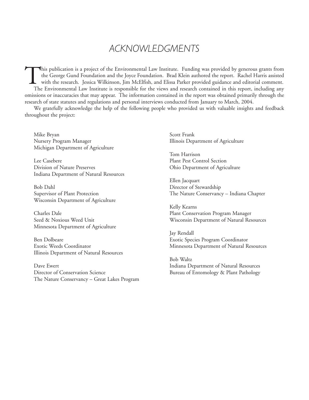## *ACKNOWLEDGMENTS*

This publication is a project of the Environmental Law Institute. Funding was provided by generous grants from the George Gund Foundation and the Joyce Foundation. Brad Klein authored the report. Rachel Harris assisted wit the George Gund Foundation and the Joyce Foundation. Brad Klein authored the report. Rachel Harris assisted with the research. Jessica Wilkinson, Jim McElfish, and Elissa Parker provided guidance and editorial comment. The Environmental Law Institute is responsible for the views and research contained in this report, including any omissions or inaccuracies that may appear. The information contained in the report was obtained primarily through the research of state statutes and regulations and personal interviews conducted from January to March, 2004.

We gratefully acknowledge the help of the following people who provided us with valuable insights and feedback throughout the project:

Mike Bryan Nursery Program Manager Michigan Department of Agriculture

Lee Casebere Division of Nature Preserves Indiana Department of Natural Resources

Bob Dahl Supervisor of Plant Protection Wisconsin Department of Agriculture

Charles Dale Seed & Noxious Weed Unit Minnesota Department of Agriculture

Ben Dolbeare Exotic Weeds Coordinator Illinois Department of Natural Resources

Dave Ewert Director of Conservation Science The Nature Conservancy – Great Lakes Program Scott Frank Illinois Department of Agriculture

Tom Harrison Plant Pest Control Section Ohio Department of Agriculture

Ellen Jacquart Director of Stewardship The Nature Conservancy – Indiana Chapter

Kelly Kearns Plant Conservation Program Manager Wisconsin Department of Natural Resources

Jay Rendall Exotic Species Program Coordinator Minnesota Department of Natural Resources

Bob Waltz Indiana Department of Natural Resources Bureau of Entomology & Plant Pathology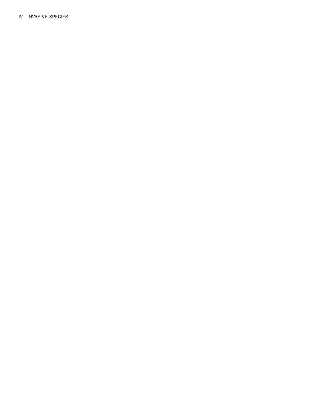IV | INVASIVE SPECIES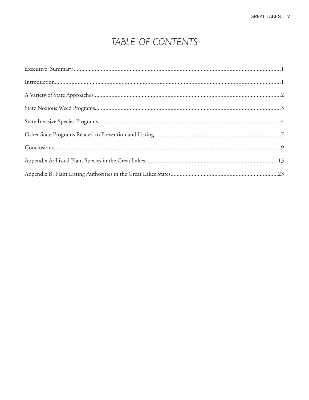## TABLE OF CONTENTS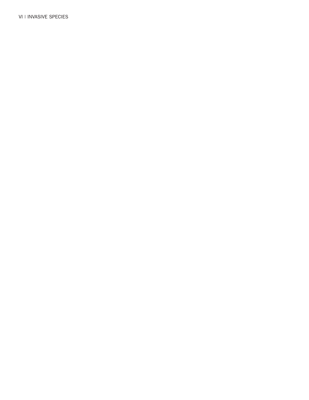VI | INVASIVE SPECIES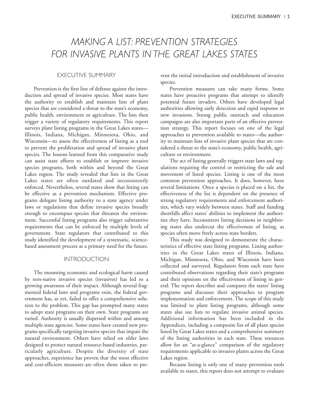## *MAKING A LIST: PREVENTION STRATEGIES FOR INVASIVE PLANTS IN THE GREAT LAKES STATES*

#### EXECUTIVE SUMMARY

Prevention is the first line of defense against the introduction and spread of invasive species. Most states have the authority to establish and maintain lists of plant species that are considered a threat to the state's economy, public health, environment or agriculture. The lists then trigger a variety of regulatory requirements. This report surveys plant listing programs in the Great Lakes states— Illinois, Indiana, Michigan, Minnesota, Ohio, and Wisconsin—to assess the effectiveness of listing as a tool to prevent the proliferation and spread of invasive plant species. The lessons learned from this comparative study can assist state efforts to establish or improve invasive species programs, both within and beyond the Great Lakes region. The study revealed that lists in the Great Lakes states are often outdated and inconsistently enforced. Nevertheless, several states show that listing can be effective as a prevention mechanism. Effective programs delegate listing authority to a state agency under laws or regulations that define invasive species broadly enough to encompass species that threaten the environment. Successful listing programs also trigger substantive requirements that can be enforced by multiple levels of government. State regulators that contributed to this study identified the development of a systematic, sciencebased assessment process as a primary need for the future.

#### INTRODUCTION

The mounting economic and ecological harm caused by non-native invasive species (invasives) has led to a growing awareness of their impact. Although several fragmented federal laws and programs exist, the federal government has, as yet, failed to offer a comprehensive solution to the problem. This gap has prompted many states to adopt state programs on their own. State programs are varied. Authority is usually dispersed within and among multiple state agencies. Some states have created new programs specifically targeting invasive species that impair the natural environment. Others have relied on older laws designed to protect natural resource-based industries, particularly agriculture. Despite the diversity of state approaches, experience has proven that the most effective and cost-efficient measures are often those taken to prevent the initial introduction and establishment of invasive species.

Prevention measures can take many forms. Some states have proactive programs that attempt to identify potential future invaders. Others have developed legal authorities allowing early detection and rapid response to new invasions. Strong public outreach and education campaigns are also important parts of an effective prevention strategy. This report focuses on one of the legal approaches to prevention available to states—the authority to maintain lists of invasive plant species that are considered a threat to the state's economy, public health, agriculture or environment.

The act of listing generally triggers state laws and regulations requiring the control or restricting the sale and movement of listed species. Listing is one of the most common prevention approaches. It does, however, have several limitations. Once a species is placed on a list, the effectiveness of the list is dependent on the presence of strong regulatory requirements and enforcement authorities, which vary widely between states. Staff and funding shortfalls affect states' abilities to implement the authorities they have. Inconsistent listing decisions in neighboring states also undercut the effectiveness of listing, as species often move freely across state borders.

This study was designed to demonstrate the characteristics of effective state listing programs. Listing authorities in the Great Lakes states of Illinois, Indiana, Michigan, Minnesota, Ohio, and Wisconsin have been collected and surveyed. Regulators from each state have contributed observations regarding their state's programs and their opinions on the effectiveness of listing in general. The report describes and compares the states' listing programs and discusses their approaches to program implementation and enforcement. The scope of this study was limited to plant listing programs, although some states also use lists to regulate invasive animal species. Additional information has been included in the Appendices, including a composite list of all plant species listed by Great Lakes states and a comprehensive summary of the listing authorities in each state. These resources allow for an "at-a-glance" comparison of the regulatory requirements applicable to invasive plants across the Great Lakes region.

Because listing is only one of many prevention tools available to states, this report does not attempt to evaluate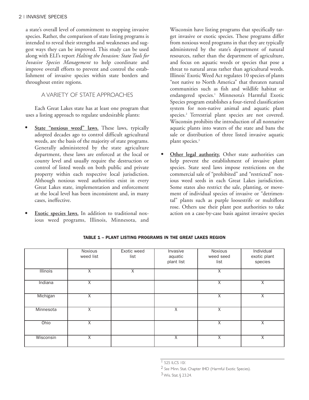a state's overall level of commitment to stopping invasive species. Rather, the comparison of state listing programs is intended to reveal their strengths and weaknesses and suggest ways they can be improved. This study can be used along with ELI's report *Halting the Invasion: State Tools for Invasive Species Management* to help coordinate and improve overall efforts to prevent and control the establishment of invasive species within state borders and throughout entire regions.

#### A VARIETY OF STATE APPROACHES

Each Great Lakes state has at least one program that uses a listing approach to regulate undesirable plants:

- **State "noxious weed" laws.** These laws, typically adopted decades ago to control difficult agricultural weeds, are the basis of the majority of state programs. Generally administered by the state agriculture department, these laws are enforced at the local or county level and usually require the destruction or control of listed weeds on both public and private property within each respective local jurisdiction. Although noxious weed authorities exist in every Great Lakes state, implementation and enforcement at the local level has been inconsistent and, in many cases, ineffective.
- **Exotic species laws.** In addition to traditional noxious weed programs, Illinois, Minnesota, and

Wisconsin have listing programs that specifically target invasive or exotic species. These programs differ from noxious weed programs in that they are typically administered by the state's department of natural resources, rather than the department of agriculture, and focus on aquatic weeds or species that pose a threat to natural areas rather than agricultural weeds. Illinois' Exotic Weed Act regulates 10 species of plants "not native to North America" that threaten natural communities such as fish and wildlife habitat or endangered species.<sup>1</sup> Minnesota's Harmful Exotic Species program establishes a four-tiered classification system for non-native animal and aquatic plant species.<sup>2</sup> Terrestrial plant species are not covered. Wisconsin prohibits the introduction of all nonnative aquatic plants into waters of the state and bans the sale or distribution of three listed invasive aquatic plant species.<sup>3</sup>

**Other legal authority.** Other state authorities can help prevent the establishment of invasive plant species. State seed laws impose restrictions on the commercial sale of "prohibited" and "restricted" noxious weed seeds in each Great Lakes jurisdiction. Some states also restrict the sale, planting, or movement of individual species of invasive or "detrimental" plants such as purple loosestrife or multiflora rose. Others use their plant pest authorities to take action on a case-by-case basis against invasive species

|                 | <b>Noxious</b>          | Exotic weed    |            |                         | Individual              |
|-----------------|-------------------------|----------------|------------|-------------------------|-------------------------|
|                 |                         |                | Invasive   | Noxious                 |                         |
|                 | weed list               | list           | aquatic    | weed seed               | exotic plant            |
|                 |                         |                | plant list | list                    | species                 |
|                 |                         |                |            |                         |                         |
| <b>Illinois</b> | X                       | $\overline{X}$ |            | $\overline{X}$          |                         |
|                 |                         |                |            |                         |                         |
| Indiana         | $\overline{X}$          |                |            | $\overline{X}$          | $\overline{\mathsf{X}}$ |
|                 |                         |                |            |                         |                         |
|                 |                         |                |            |                         |                         |
| Michigan        | Χ                       |                |            | $\overline{\mathsf{X}}$ | $\overline{\mathsf{x}}$ |
|                 |                         |                |            |                         |                         |
|                 |                         |                |            |                         |                         |
| Minnesota       | X                       |                | X          | Χ                       |                         |
|                 |                         |                |            |                         |                         |
| Ohio            | $\overline{\mathsf{X}}$ |                |            | $\overline{X}$          | $\overline{\chi}$       |
|                 |                         |                |            |                         |                         |
|                 |                         |                |            |                         |                         |
|                 |                         |                |            |                         |                         |
| Wisconsin       | $\checkmark$<br>∧       |                | X          | Χ                       | X                       |
|                 |                         |                |            |                         |                         |

TABLE 1 – PLANT LISTING PROGRAMS IN THE GREAT LAKES REGION

3 Wis. Stat. § 23.24.

 $\frac{1}{1}$  525 ILCS 10/.

<sup>2</sup> *See* Minn. Stat. Chapter 84D (Harmful Exotic Species).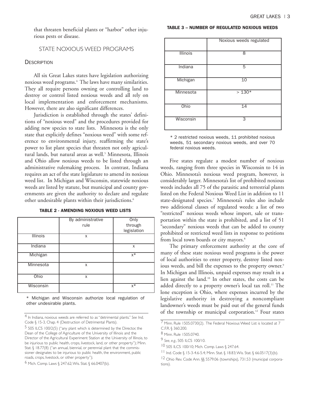that threaten beneficial plants or "harbor" other injurious pests or disease.

#### STATE NOXIOUS WEED PROGRAMS

#### **DESCRIPTION**

All six Great Lakes states have legislation authorizing noxious weed programs.4 The laws have many similarities. They all require persons owning or controlling land to destroy or control listed noxious weeds and all rely on local implementation and enforcement mechanisms. However, there are also significant differences.

Jurisdiction is established through the states' definitions of "noxious weed" and the procedures provided for adding new species to state lists. Minnesota is the only state that explicitly defines "noxious weed" with some reference to environmental injury, reaffirming the state's power to list plant species that threaten not only agricultural lands, but natural areas as well.<sup>5</sup> Minnesota, Illinois and Ohio allow noxious weeds to be listed through an administrative rulemaking process. In contrast, Indiana requires an act of the state legislature to amend its noxious weed list. In Michigan and Wisconsin, statewide noxious weeds are listed by statute, but municipal and county governments are given the authority to declare and regulate other undesirable plants within their jurisdictions.<sup>6</sup>

TABLE 2 - AMENDING NOXIOUS WEED LISTS

|                 | By administrative | Only        |
|-----------------|-------------------|-------------|
|                 | rule              | through     |
|                 |                   | legislation |
| <b>Illinois</b> | X                 |             |
| Indiana         |                   | X           |
| Michigan        |                   | $x^*$       |
| Minnesota       | X                 |             |
| Ohio            | X                 |             |
| Wisconsin       |                   | $x^*$       |

\* Michigan and Wisconsin authorize local regulation of other undesirable plants.

6 Mich. Comp. Laws § 247.62;Wis. Stat. § 66.0407(b).

TABLE 3 – NUMBER OF REGULATED NOXIOUS WEEDS

|                 | Noxious weeds regulated |
|-----------------|-------------------------|
| <b>Illinois</b> | 8                       |
| Indiana         | 5                       |
| Michigan        | 10                      |
| Minnesota       | $>130*$                 |
| Ohio            | $\overline{14}$         |
| Wisconsin       | 3                       |

\* 2 restricted noxious weeds, 11 prohibited noxious weeds, 51 secondary noxious weeds, and over 70 federal noxious weeds.

Five states regulate a modest number of noxious weeds, ranging from three species in Wisconsin to 14 in Ohio. Minnesota's noxious weed program, however, is considerably larger. Minnesota's list of prohibited noxious weeds includes all 75 of the parasitic and terrestrial plants listed on the Federal Noxious Weed List in addition to 11 state-designated species.7 Minnesota's rules also include two additional classes of regulated weeds: a list of two "restricted" noxious weeds whose import, sale or transportation within the state is prohibited, and a list of 51 "secondary" noxious weeds that can be added to county prohibited or restricted weed lists in response to petitions from local town boards or city mayors.<sup>8</sup>

The primary enforcement authority at the core of many of these state noxious weed programs is the power of local authorities to enter property, destroy listed noxious weeds, and bill the expenses to the property owner.<sup>9</sup> In Michigan and Illinois, unpaid expenses may result in a lien against the land.<sup>10</sup> In other states, the costs can be added directly to a property owner's local tax roll.<sup>11</sup> The lone exception is Ohio, where expenses incurred by the legislative authority in destroying a noncompliant landowner's weeds must be paid out of the general funds of the township or municipal corporation.<sup>12</sup> Four states

<sup>4</sup> In Indiana, noxious weeds are referred to as "detrimental plants." *See* Ind. Code § 15-3, Chap. 4 (Destruction of Detrimental Plants).

<sup>5</sup> 505 ILCS 100/2(5) ("any plant which is determined by the Director, the Dean of the College of Agriculture of the University of Illinois and the Director of the Agricultural Experiment Station at the University of Illinois, to be injurious to public health, crops, livestock, land, or other property"); Minn. Stat. § 18.77(8) ("an annual, biennial, or perennial plant that the commissioner designates to be injurious to public health, the environment, public roads, crops, livestock, or other property");

 $\overline{7}$  Minn. Rule 1505.0730(2). The Federal Noxious Weed List is located at 7 C.F.R. § 360.200.

<sup>8</sup> Minn. Rule 1505.0740.

<sup>9</sup> *See*, *e.g.*, 505 ILCS 100/10.

<sup>10</sup> 505 ILCS 100/10; Mich. Comp. Laws § 247.64.

<sup>11</sup> Ind. Code § 15-3-4.6-5.4; Minn. Stat. § 18.83;Wis. Stat. § 66.0517(3)(b).

<sup>12</sup> Ohio Rev. Code Ann. §§ 5579.06 (townships), 731.53 (municipal corporations).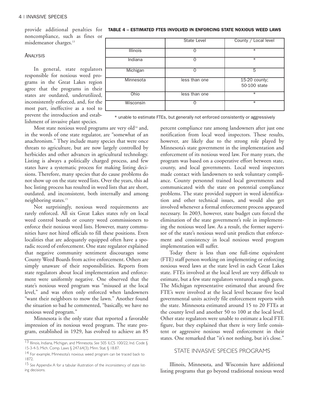noncompliance, such as fines or misdemeanor charges.<sup>13</sup>

#### ANALYSIS

In general, state regulators responsible for noxious weed programs in the Great Lakes region agree that the programs in their states are outdated, underutilized, inconsistently enforced, and, for the most part, ineffective as a tool to prevent the introduction and establishment of invasive plant species.

provide additional penalties for **TABLE 4 – ESTIMATED FTES INVOLVED IN ENFORCING STATE NOXIOUS WEED LAWS** 

|                 | State Level   | County / Local level          |
|-----------------|---------------|-------------------------------|
| <b>Illinois</b> | O             | $\ast$                        |
| Indiana         | ∩             | $\ast$                        |
| Michigan        | $\Omega$      | 5                             |
| Minnesota       | less than one | 15-20 county;<br>50-100 state |
| Ohio            | less than one | $\ast$                        |
| Wisconsin       | ∩             | $\ast$                        |

\* unable to estimate FTEs, but generally not enforced consistently or aggressively

Most state noxious weed programs are very old<sup>14</sup> and, in the words of one state regulator, are "somewhat of an anachronism." They include many species that were once threats to agriculture, but are now largely controlled by herbicides and other advances in agricultural technology. Listing is always a politically charged process, and few states have a systematic process for making listing decisions. Therefore, many species that do cause problems do not show up on the state weed lists. Over the years, this ad hoc listing process has resulted in weed lists that are short, outdated, and inconsistent, both internally and among neighboring states.<sup>15</sup>

Not surprisingly, noxious weed requirements are rarely enforced. All six Great Lakes states rely on local weed control boards or county weed commissioners to enforce their noxious weed lists. However, many communities have not hired officials to fill these positions. Even localities that are adequately equipped often have a sporadic record of enforcement. One state regulator explained that negative community sentiment discourages some County Weed Boards from active enforcement. Others are simply unaware of their responsibilities. Reports from state regulators about local implementation and enforcement were uniformly negative. One observed that the state's noxious weed program was "misused at the local level," and was often only enforced when landowners "want their neighbors to mow the lawn." Another found the situation so bad he commented, "basically, we have no noxious weed program."

Minnesota is the only state that reported a favorable impression of its noxious weed program. The state program, established in 1929, has evolved to achieve an 85 percent compliance rate among landowners after just one notification from local weed inspectors. These results, however, are likely due to the strong role played by Minnesota's state government in the implementation and enforcement of its noxious weed law. For many years, the program was based on a cooperative effort between state, county, and local governments. Local weed inspectors made contact with landowners to seek voluntary compliance. County personnel trained local governments and communicated with the state on potential compliance problems. The state provided support in weed identification and other technical issues, and would also get involved whenever a formal enforcement process appeared necessary. In 2003, however, state budget cuts forced the elimination of the state government's role in implementing the noxious weed law. As a result, the former supervisor of the state's noxious weed unit predicts that enforcement and consistency in local noxious weed program implementation will suffer.

Today there is less than one full-time equivalent (FTE) staff person working on implementing or enforcing noxious weed laws at the state level in each Great Lakes state. FTEs involved at the local level are very difficult to estimate, but a few state regulators ventured a rough guess. The Michigan representative estimated that around five FTE's were involved at the local level because five local governmental units actively file enforcement reports with the state. Minnesota estimated around 15 to 20 FTEs at the county level and another 50 to 100 at the local level. Other state regulators were unable to estimate a local FTE figure, but they explained that there is very little consistent or aggressive noxious weed enforcement in their states. One remarked that "it's not nothing, but it's close."

#### STATE INVASIVE SPECIES PROGRAMS

Illinois, Minnesota, and Wisconsin have additional listing programs that go beyond traditional noxious weed

<sup>13</sup> Illinois, Indiana, Michigan, and Minnesota. *See* 505 ILCS 100/22; Ind. Code § 15-3-4-5; Mich. Comp. Laws § 247.64(3); Minn. Stat. § 18.87.

<sup>14</sup> For example, Minnesota's noxious weed program can be traced back to 1872.

<sup>15</sup> *See* Appendix A for a tabular illustration of the inconsistency of state listing decisions.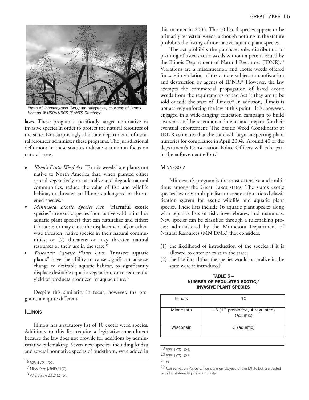

Photo of Johnsongrass (Sorghum halapense) courtesy of James Henson @ USDA-NRCS PLANTS Database.

laws. These programs specifically target non-native or invasive species in order to protect the natural resources of the state. Not surprisingly, the state departments of natural resources administer these programs. The jurisdictional definitions in these statutes indicate a common focus on natural areas:

- *Illinois Exotic Weed Act*: "**Exotic weeds**" are plants not native to North America that, when planted either spread vegetatively or naturalize and degrade natural communities, reduce the value of fish and wildlife habitat, or threaten an Illinois endangered or threatened species.<sup>16</sup>
- *Minnesota Exotic Species Act*: "**Harmful exotic species**" are exotic species (non-native wild animal or aquatic plant species) that can naturalize and either: (1) causes or may cause the displacement of, or otherwise threaten, native species in their natural communities; or (2) threatens or may threaten natural resources or their use in the state.<sup>17</sup>
- *Wisconsin Aquatic Plants Law*: "**Invasive aquatic plants**" have the ability to cause significant adverse change to desirable aquatic habitat, to significantly displace desirable aquatic vegetation, or to reduce the yield of products produced by aquaculture.<sup>18</sup>

Despite this similarity in focus, however, the programs are quite different.

#### ILLINOIS

Illinois has a statutory list of 10 exotic weed species. Additions to this list require a legislative amendment because the law does not provide for additions by administrative rulemaking. Seven new species, including kudzu and several nonnative species of buckthorn, were added in

this manner in 2003. The 10 listed species appear to be primarily terrestrial weeds, although nothing in the statute prohibits the listing of non-native aquatic plant species.

The act prohibits the purchase, sale, distribution or planting of listed exotic weeds without a permit issued by the Illinois Department of Natural Resources (IDNR).<sup>19</sup> Violations are a misdemeanor, and exotic weeds offered for sale in violation of the act are subject to confiscation and destruction by agents of IDNR.<sup>20</sup> However, the law exempts the commercial propagation of listed exotic weeds from the requirements of the Act if they are to be sold outside the state of Illinois.<sup>21</sup> In addition, Illinois is not actively enforcing the law at this point. It is, however, engaged in a wide-ranging education campaign to build awareness of the recent amendments and prepare for their eventual enforcement. The Exotic Weed Coordinator at IDNR estimates that the state will begin inspecting plant nurseries for compliance in April 2004. Around 40 of the department's Conservation Police Officers will take part in the enforcement effort.<sup>22</sup>

#### **MINNESOTA**

Minnesota's program is the most extensive and ambitious among the Great Lakes states. The state's exotic species law uses multiple lists to create a four-tiered classification system for exotic wildlife and aquatic plant species. These lists include 16 aquatic plant species along with separate lists of fish, invertebrates, and mammals. New species can be classified through a rulemaking process administered by the Minnesota Department of Natural Resources (MN DNR) that considers:

- (1) the likelihood of introduction of the species if it is allowed to enter or exist in the state;
- (2) the likelihood that the species would naturalize in the state were it introduced;

#### TABLE 5 – NUMBER OF REGULATED EXOTIC/ INVASIVE PLANT SPECIES

| <b>Illinois</b> | 10                                           |
|-----------------|----------------------------------------------|
| Minnesota       | 16 (12 prohibited, 4 regulated)<br>(aquatic) |
| Wisconsin       | 3 (aquatic)                                  |

 $19$  525 ILCS 10/4.

<sup>16</sup> 525 ILCS 10/2.

<sup>17</sup> Minn. Stat. § 84D.01(7).

<sup>18</sup> Wis. Stat. § 23.24(2)(b).

<sup>20</sup> 525 ILCS 10/5.

<sup>21</sup> *Id.*

<sup>22</sup> Conservation Police Officers are employees of the DNR, but are vested with full statewide police authority.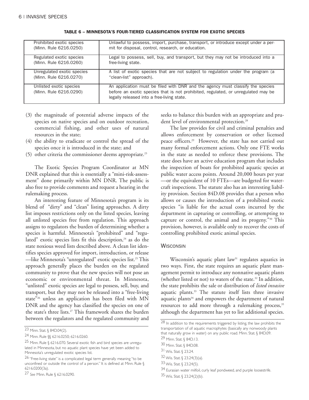| Prohibited exotic species                         | Unlawful to possess, import, purchase, transport, or introduce except under a per-                                                                                                                                |  |
|---------------------------------------------------|-------------------------------------------------------------------------------------------------------------------------------------------------------------------------------------------------------------------|--|
| (Minn. Rule 6216.0250)                            | mit for disposal, control, research, or education.                                                                                                                                                                |  |
| Regulated exotic species                          | Legal to possess, sell, buy, and transport, but they may not be introduced into a                                                                                                                                 |  |
| (Minn. Rule 6216.0260)                            | free-living state.                                                                                                                                                                                                |  |
| Unregulated exotic species                        | A list of exotic species that are not subject to regulation under the program (a                                                                                                                                  |  |
| (Minn. Rule 6216.0270)                            | "clean-list" approach).                                                                                                                                                                                           |  |
| Unlisted exotic species<br>(Minn. Rule 6216.0290) | An application must be filed with DNR and the agency must classify the species<br>before an exotic species that is not prohibited, regulated, or unregulated may be<br>legally released into a free-living state. |  |

TABLE 6 – MINNESOTA'S FOUR-TIERED CLASSIFICATION SYSTEM FOR EXOTIC SPECIES

- (3) the magnitude of potential adverse impacts of the species on native species and on outdoor recreation, commercial fishing, and other uses of natural resources in the state;
- (4) the ability to eradicate or control the spread of the species once it is introduced in the state; and
- (5) other criteria the commissioner deems appropriate.23

The Exotic Species Program Coordinator at MN DNR explained that this is essentially a "mini-risk-assessment" done primarily within MN DNR. The public is also free to provide comments and request a hearing in the rulemaking process.

An interesting feature of Minnesota's program is its blend of "dirty" and "clean" listing approaches. A dirty list imposes restrictions only on the listed species, leaving all unlisted species free from regulation. This approach assigns to regulators the burden of determining whether a species is harmful. Minnesota's "prohibited" and "regulated" exotic species lists fit this description, $24$  as do the state noxious weed lists described above. A clean list identifies species approved for import, introduction, or release —like Minnesota's "unregulated" exotic species list.25 This approach generally places the burden on the regulated community to prove that the new species will not pose an economic or environmental threat. In Minnesota, "unlisted" exotic species are legal to possess, sell, buy, and transport, but they may not be released into a "free-living state"<sup>26</sup> unless an application has been filed with MN DNR and the agency has classified the species on one of the state's three lists.27 This framework shares the burden between the regulators and the regulated community and seeks to balance this burden with an appropriate and prudent level of environmental protection.<sup>28</sup>

The law provides for civil and criminal penalties and allows enforcement by conservation or other licensed peace officers.29 However, the state has not carried out many formal enforcement actions. Only one FTE works in the state as needed to enforce these provisions. The state does have an active education program that includes the inspection of boats for prohibited aquatic species at public water access points. Around 20,000 hours per year —or the equivalent of 10 FTEs—are budgeted for watercraft inspections. The statute also has an interesting liability provision. Section 84D.08 provides that a person who allows or causes the introduction of a prohibited exotic species "is liable for the actual costs incurred by the department in capturing or controlling, or attempting to capture or control, the animal and its progeny."30 This provision, however, is available only to recover the costs of controlling prohibited exotic animal species.

#### **WISCONSIN**

Wisconsin's aquatic plant law<sup>31</sup> regulates aquatics in two ways. First, the state requires an aquatic plant management permit to introduce any nonnative aquatic plants (whether listed or not) to waters of the state.<sup>32</sup> In addition, the state prohibits the sale or distribution of *listed invasive* aquatic plants.33 The statute itself lists three invasive aquatic plants<sup>34</sup> and empowers the department of natural resources to add more through a rulemaking process,<sup>35</sup> although the department has yet to list additional species.

35 Wis. Stat. § 23.24(2)(b).

<sup>23</sup> Minn. Stat. § 84D.04(2).

<sup>24</sup> Minn. Rule §§ 6216.0250; 6216.0260.

<sup>25</sup> Minn. Rule § 6216.070. Several exotic fish and bird species are unregulated in Minnesota, but no aquatic plant species have yet been added to Minnesota's unregulated exotic species list.

<sup>26</sup> "Free-living state" is a complicated legal term generally meaning "to be unconfined or outside the control of a person." It is defined at Minn. Rule § 6216.0200(3a).

<sup>27</sup> *See* Minn. Rule § 6216.0290.

<sup>28</sup> In addition to the requirements triggered by listing, the law prohibits the transportation of *all* aquatic macrophytes (basically any nonwoody plants that naturally grow in water) on any public road. Minn. Stat. § 84D.09.

<sup>29</sup> Minn. Stat. § 84D.13.

<sup>30</sup> Minn. Stat. § 84D.08.

<sup>31</sup> Wis. Stat. § 23.24.

<sup>32</sup> Wis. Stat. § 23.24(3)(a).

<sup>33</sup> Wis. Stat. § 23.24(5).

<sup>34</sup> Eurasian water milfoil, curly leaf pondweed, and purple loosestrife.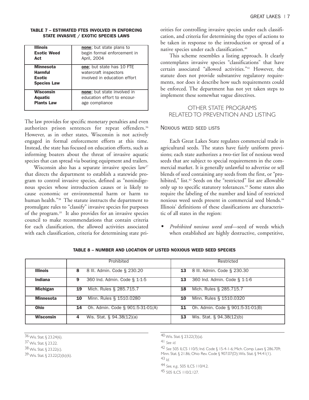#### TABLE 7 – ESTIMATED FTES INVOLVED IN ENFORCING STATE INVASIVE / EXOTIC SPECIES LAWS

| <b>Illinois</b>    | none; but state plans to            |
|--------------------|-------------------------------------|
| <b>Exotic Weed</b> | begin formal enforcement in         |
| Act                | April, 2004                         |
| <b>Minnesota</b>   | <b>one</b> ; but state has 10 FTE   |
| <b>Harmful</b>     | watercraft inspectors               |
| <b>Exotic</b>      | involved in education effort        |
| <b>Species Law</b> |                                     |
| <b>Wisconsin</b>   | <b>none</b> ; but state involved in |
| <b>Aquatic</b>     | education effort to encour-         |
| <b>Plants Law</b>  | age compliance                      |
|                    |                                     |

The law provides for specific monetary penalties and even authorizes prison sentences for repeat offenders.<sup>36</sup> However, as in other states, Wisconsin is not actively engaged in formal enforcement efforts at this time. Instead, the state has focused on education efforts, such as informing boaters about the threat of invasive aquatic species that can spread via boating equipment and trailers.

Wisconsin also has a separate invasive species law<sup>37</sup> that directs the department to establish a statewide program to control invasive species, defined as "nonindigenous species whose introduction causes or is likely to cause economic or environmental harm or harm to human health."38 The statute instructs the department to promulgate rules to "classify" invasive species for purposes of the program.39 It also provides for an invasive species council to make recommendations that contain criteria for each classification, the allowed activities associated with each classification, criteria for determining state priorities for controlling invasive species under each classification, and criteria for determining the types of actions to be taken in response to the introduction or spread of a native species under each classification.<sup>40</sup>

This scheme resembles a listing approach. It clearly contemplates invasive species "classifications" that have certain associated "allowed activities."41 However, the statute does not provide substantive regulatory requirements, nor does it describe how such requirements could be enforced. The department has not yet taken steps to implement these somewhat vague directives.

#### OTHER STATE PROGRAMS RELATED TO PREVENTION AND LISTING

#### NOXIOUS WEED SEED LISTS

Each Great Lakes State regulates commercial trade in agricultural seeds. The states have fairly uniform provisions; each state authorizes a two-tier list of noxious weed seeds that are subject to special requirements in the commercial market. It is generally unlawful to advertise or sell blends of seed containing any seeds from the first, or "prohibited," list.<sup>42</sup> Seeds on the "restricted" list are allowable only up to specific statutory tolerances.<sup>43</sup> Some states also require the labeling of the number and kind of restricted noxious weed seeds present in commercial seed blends.<sup>44</sup> Illinois' definitions of these classifications are characteristic of all states in the region:

*Prohibited noxious weed seed*—seed of weeds which when established are highly destructive, competitive,

|                  | Prohibited                             | Restricted                             |  |
|------------------|----------------------------------------|----------------------------------------|--|
| <b>Illinois</b>  | 8 III. Admin. Code § 230.20<br>8       | 13 8 III. Admin. Code § 230.30         |  |
| <b>Indiana</b>   | 360 Ind. Admin. Code § 1-1-5<br>9      | 360 Ind. Admin. Code § 1-1-6<br>13     |  |
| <b>Michigan</b>  | Mich. Rules § 285.715.7<br>19          | Mich. Rules § 285.715.7<br>18          |  |
| <b>Minnesota</b> | Minn. Rules § 1510.0280<br>10          | Minn. Rules § 1510.0320<br>10          |  |
| <b>Ohio</b>      | Oh. Admin. Code § 901:5-31-01(A)<br>14 | Oh. Admin. Code § 901:5-31-01(B)<br>11 |  |
| <b>Wisconsin</b> | Wis. Stat. $\S$ 94.38(12)(a)<br>4      | Wis. Stat. $\S$ 94.38(12)(b)<br>13     |  |

#### TABLE 8 – NUMBER AND LOCATION OF LISTED NOXIOUS WEED SEED SPECIES

36 Wis. Stat. § 23.24(6). 37 Wis. Stat. § 23.22.

38 Wis. Stat. § 23.22(c).

39 Wis. Stat. § 23.22(2)(b)(6).

```
40 Wis. Stat. § 23.22(3)(a).
```

```
41 See id.
```
42 *See* 505 ILCS 110/5; Ind. Code § 15-4-1-6; Mich. Comp. Laws § 286.709; Minn. Stat. § 21.86; Ohio Rev. Code § 907.07(D);Wis. Stat. § 94.41(1). 43 *Id.* 44 *See, e.g.,* 505 ILCS 110/4.2.

45 505 ILCS 110/2.127.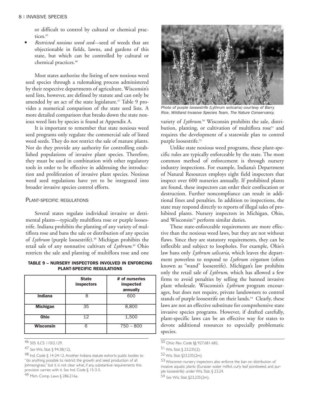or difficult to control by cultural or chemical practices.<sup>45</sup>

*Restricted noxious weed seed*—seed of weeds that are objectionable in fields, lawns, and gardens of this state, but which can be controlled by cultural or chemical practices.<sup>46</sup>

Most states authorize the listing of new noxious weed seed species through a rulemaking process administered by their respective departments of agriculture. Wisconsin's seed lists, however, are defined by statute and can only be amended by an act of the state legislature.<sup>47</sup> Table 9 provides a numerical comparison of the state seed lists. A more detailed comparison that breaks down the state noxious weed lists by species is found at Appendix A.

It is important to remember that state noxious weed seed programs only regulate the commercial sale of listed weed seeds. They do not restrict the sale of mature plants. Nor do they provide any authority for controlling established populations of invasive plant species. Therefore, they must be used in combination with other regulatory tools in order to be effective in addressing the introduction and proliferation of invasive plant species. Noxious weed seed regulations have yet to be integrated into broader invasive species control efforts.

#### PLANT-SPECIFIC REGULATIONS

Several states regulate individual invasive or detrimental plants—typically multiflora rose or purple loosestrife. Indiana prohibits the planting of any variety of multiflora rose and bans the sale or distribution of any species of *Lythrum* (purple loosestrife).<sup>48</sup> Michigan prohibits the retail sale of any nonnative cultivars of *Lythrum*. <sup>49</sup> Ohio restricts the sale and planting of multiflora rose and one

TABLE 9 – NURSERY INSPECTORS INVOLVED IN ENFORCING PLANT-SPECIFIC REGULATIONS

|                  | <b>State</b><br>inspectors | # of nurseries<br>inspected<br>annually |
|------------------|----------------------------|-----------------------------------------|
| <b>Indiana</b>   | 8                          | 600                                     |
| <b>Michigan</b>  | 35                         | 8,800                                   |
| Ohio             | 12                         | 1,500                                   |
| <b>Wisconsin</b> | ൳                          | $750 - 800$                             |

<sup>46</sup> 505 ILCS 110/2.129.

49 Mich. Comp. Laws § 286.216a.



Photo of purple loosestrife (Lythrum solicaria) courtesy of Barry Rice, Wildland Invasive Species Team, The Nature Conservancy.

variety of *Lythrum*. <sup>50</sup> Wisconsin prohibits the sale, distribution, planting, or cultivation of multiflora rose<sup>51</sup> and requires the development of a statewide plan to control purple loosestrife.<sup>52</sup>

Unlike state noxious weed programs, these plant-specific rules are typically enforceable by the state. The most common method of enforcement is through nursery industry inspections. For example, Indiana's Department of Natural Resources employs eight field inspectors that inspect over 600 nurseries annually. If prohibited plants are found, these inspectors can order their confiscation or destruction. Further noncompliance can result in additional fines and penalties. In addition to inspections, the state may respond directly to reports of illegal sales of prohibited plants. Nursery inspectors in Michigan, Ohio, and Wisconsin<sup>53</sup> perform similar duties.

These state-enforceable requirements are more effective than the noxious weed laws, but they are not without flaws. Since they are statutory requirements, they can be inflexible and subject to loopholes. For example, Ohio's law bans only *Lythrum salicaria*, which leaves the department powerless to respond to *Lythrum virgatum* (often known as "wand" loosestrife). Michigan's law prohibits only the retail sale of *Lythrum*, which has allowed a few firms to avoid penalties by selling the banned invasive plant wholesale. Wisconsin's *Lythrum* program encourages, but does not require, private landowners to control stands of purple loosestrife on their lands.<sup>54</sup> Clearly, these laws are not an effective substitute for comprehensive state invasive species programs. However, if drafted carefully, plant-specific laws can be an effective way for states to devote additional resources to especially problematic species.

<sup>47</sup> *See* Wis. Stat. § 94.38(12).

<sup>48</sup> Ind. Code § 14-24-12. Another Indiana statute exhorts public bodies to "do anything possible to restrict the growth and seed production of all Johnsongrass," but it is not clear what, if any, substantive requirements this provision carries with it. *See* Ind. Code § 15-3-5.

<sup>50</sup> Ohio Rev. Code §§ 927.681-682.

<sup>51</sup> Wis. Stat. § 23.235(2).

<sup>52</sup> Wis. Stat. §23.235(2m).

<sup>53</sup> Wisconsin nursery inspectors also enforce the ban on distribution of invasive aquatic plants (Eurasian water milfoil, curly leaf pondweed, and purple loosestrife) under Wis. Stat. § 23.24.

<sup>54</sup> *See* Wis. Stat. §23.235(2m).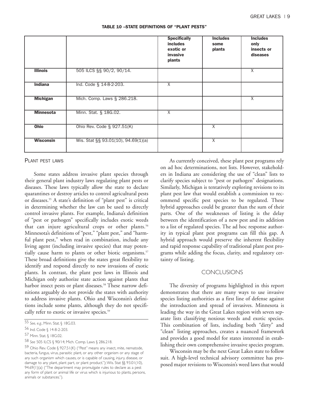|                  |                                     | <b>Specifically</b><br><i>includes</i><br>exotic or<br>invasive<br>plants | <b>Includes</b><br>some<br>plants | <b>Includes</b><br>only<br>insects or<br>diseases |
|------------------|-------------------------------------|---------------------------------------------------------------------------|-----------------------------------|---------------------------------------------------|
| <b>Illinois</b>  | 505 ILCS §§ 90/2, 90/14.            |                                                                           |                                   | X                                                 |
| <b>Indiana</b>   | Ind. Code § 14-8-2-203.             | X                                                                         |                                   |                                                   |
| <b>Michigan</b>  | Mich. Comp. Laws § 286.218.         |                                                                           |                                   | $\overline{X}$                                    |
| <b>Minnesota</b> | Minn. Stat. § 18G.02.               | $\overline{X}$                                                            |                                   |                                                   |
| <b>Ohio</b>      | Ohio Rev. Code § 927.51(K)          |                                                                           | $\overline{X}$                    |                                                   |
| <b>Wisconsin</b> | Wis. Stat §§ 93.01(10), 94.69(1)(a) |                                                                           | $\overline{X}$                    |                                                   |

#### TABLE 10 –STATE DEFINITIONS OF "PLANT PESTS"

#### PLANT PEST LAWS

Some states address invasive plant species through their general plant industry laws regulating plant pests or diseases. These laws typically allow the state to declare quarantines or destroy articles to control agricultural pests or diseases.<sup>55</sup> A state's definition of "plant pest" is critical in determining whether the law can be used to directly control invasive plants. For example, Indiana's definition of "pest or pathogen" specifically includes exotic weeds that can injure agricultural crops or other plants.<sup>56</sup> Minnesota's definitions of "pest," "plant pest," and "harmful plant pest," when read in combination, include any living agent (including invasive species) that may potentially cause harm to plants or other biotic organisms.<sup>57</sup> These broad definitions give the states great flexibility to identify and respond directly to new invasions of exotic plants. In contrast, the plant pest laws in Illinois and Michigan only authorize state action against plants that harbor insect pests or plant diseases.<sup>58</sup> These narrow definitions arguably do not provide the states with authority to address invasive plants. Ohio and Wisconsin's definitions include some plants, although they do not specifically refer to exotic or invasive species.<sup>59</sup>

As currently conceived, these plant pest programs rely on ad hoc determinations, not lists. However, stakeholders in Indiana are considering the use of "clean" lists to clarify species subject to "pest or pathogen" designations. Similarly, Michigan is tentatively exploring revisions to its plant pest law that would establish a commission to recommend specific pest species to be regulated. These hybrid approaches could be greater than the sum of their parts. One of the weaknesses of listing is the delay between the identification of a new pest and its addition to a list of regulated species. The ad hoc response authority in typical plant pest programs can fill this gap. A hybrid approach would preserve the inherent flexibility and rapid response capability of traditional plant pest programs while adding the focus, clarity, and regulatory certainty of listing.

#### **CONCLUSIONS**

The diversity of programs highlighted in this report demonstrates that there are many ways to use invasive species listing authorities as a first line of defense against the introduction and spread of invasives. Minnesota is leading the way in the Great Lakes region with seven separate lists classifying noxious weeds and exotic species. This combination of lists, including both "dirty" and "clean" listing approaches, creates a nuanced framework and provides a good model for states interested in establishing their own comprehensive invasive species program.

Wisconsin may be the next Great Lakes state to follow suit. A high-level technical advisory committee has proposed major revisions to Wisconsin's weed laws that would

<sup>55</sup> *See, e.g.*, Minn. Stat. § 18G.03.

<sup>56</sup> Ind. Code § 14-8-2-203.

<sup>57</sup> Minn. Stat. § 18G.02.

<sup>58</sup> *See* 505 ILCS § 90/14; Mich. Comp. Laws § 286.218.

<sup>59</sup> Ohio Rev. Code § 927.51(K) ("Pest" means any insect, mite, nematode, bacteria, fungus, virus, parasitic plant, or any other organism or any stage of any such organism which causes, or is capable of causing, injury, disease, or damage to any plant, plant part, or plant product."); Wis. Stat §§ 93.01(10), 94.69(1)(a) ("The department may promulgate rules to declare as a pest any form of plant or animal life or virus which is injurious to plants, persons, animals or substances.").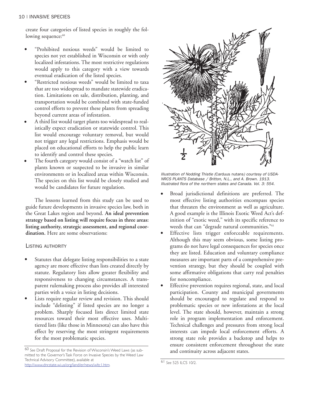create four categories of listed species in roughly the following sequence:<sup>60</sup>

- "Prohibited noxious weeds" would be limited to species not yet established in Wisconsin or with only localized infestations. The most restrictive regulations would apply to this category with a view towards eventual eradication of the listed species.
- "Restricted noxious weeds" would be limited to taxa that are too widespread to mandate statewide eradication. Limitations on sale, distribution, planting, and transportation would be combined with state-funded control efforts to prevent these plants from spreading beyond current areas of infestation.
- A third list would target plants too widespread to realistically expect eradication or statewide control. This list would encourage voluntary removal, but would not trigger any legal restrictions. Emphasis would be placed on educational efforts to help the public learn to identify and control these species.
- The fourth category would consist of a "watch list" of plants known or suspected to be invasive in similar environments or in localized areas within Wisconsin. The species on this list would be closely studied and would be candidates for future regulation.

The lessons learned from this study can be used to guide future developments in invasive species law, both in the Great Lakes region and beyond. **An ideal prevention strategy based on listing will require focus in three areas: listing authority, strategic assessment, and regional coordination.** Here are some observations:

#### LISTING AUTHORITY

- Statutes that delegate listing responsibilities to a state agency are more effective than lists created directly by statute. Regulatory lists allow greater flexibility and responsiveness to changing circumstances. A transparent rulemaking process also provides all interested parties with a voice in listing decisions.
- Lists require regular review and revision. This should include "delisting" if listed species are no longer a problem. Sharply focused lists direct limited state resources toward their most effective uses. Multitiered lists (like those in Minnesota) can also have this effect by reserving the most stringent requirements for the most problematic species.



Illustration of Nodding Thistle (Carduus nutans) courtesy of USDA-NRCS PLANTS Database / Britton, N.L., and A. Brown. 1913. Illustrated flora of the northern states and Canada. Vol. 3: 554.

- Broad jurisdictional definitions are preferred. The most effective listing authorities encompass species that threaten the environment as well as agriculture. A good example is the Illinois Exotic Weed Act's definition of "exotic weed," with its specific reference to weeds that can "degrade natural communities."<sup>61</sup>
- Effective lists trigger enforceable requirements. Although this may seem obvious, some listing programs do not have legal consequences for species once they are listed. Education and voluntary compliance measures are important parts of a comprehensive prevention strategy, but they should be coupled with some affirmative obligations that carry real penalties for noncompliance.
- Effective prevention requires regional, state, and local participation. County and municipal governments should be encouraged to regulate and respond to problematic species or new infestations at the local level. The state should, however, maintain a strong role in program implementation and enforcement. Technical challenges and pressures from strong local interests can impede local enforcement efforts. A strong state role provides a backstop and helps to ensure consistent enforcement throughout the state

<sup>&</sup>lt;sup>60</sup> See Draft Proposal for the Revision of Wisconsin's Weed Laws (as sub-<br>and continuity across adjacent states. mitted to the Governor's Task Force on Invasive Species by the Weed Law Technical Advisory Committee), available at http://www.dnr.state.wi.us/org/land/er/news/wltc1.htm.

<sup>61</sup> *See* 525 ILCS 10/2.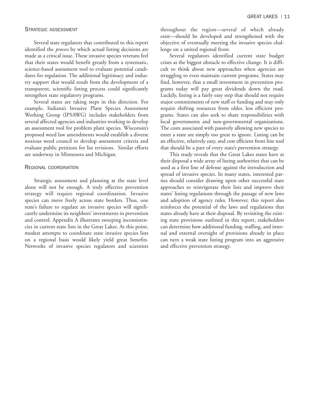#### STRATEGIC ASSESSMENT

Several state regulators that contributed to this report identified the *process* by which actual listing decisions are made as a critical issue. These invasive species veterans feel that their states would benefit greatly from a systematic, science-based assessment tool to evaluate potential candidates for regulation. The additional legitimacy and industry support that would result from the development of a transparent, scientific listing process could significantly strengthen state regulatory programs.

Several states are taking steps in this direction. For example, Indiana's Invasive Plant Species Assessment Working Group (IPSAWG) includes stakeholders from several affected agencies and industries working to develop an assessment tool for problem plant species. Wisconsin's proposed weed law amendments would establish a diverse noxious weed council to develop assessment criteria and evaluate public petitions for list revisions. Similar efforts are underway in Minnesota and Michigan.

#### REGIONAL COORDINATION

Strategic assessment and planning at the state level alone will not be enough. A truly effective prevention strategy will require regional coordination. Invasive species can move freely across state borders. Thus, one state's failure to regulate an invasive species will significantly undermine its neighbors' investments in prevention and control. Appendix A illustrates sweeping inconsistencies in current state lists in the Great Lakes. At this point, modest attempts to coordinate state invasive species lists on a regional basis would likely yield great benefits. Networks of invasive species regulators and scientists throughout the region—several of which already exist—should be developed and strengthened with the objective of eventually meeting the invasive species challenge on a united regional front.

Several regulators identified current state budget crises as the biggest obstacle to effective change. It is difficult to think about new approaches when agencies are struggling to even maintain current programs. States may find, however, that a small investment in prevention programs today will pay great dividends down the road. Luckily, listing is a fairly easy step that should not require major commitments of new staff or funding and may only require shifting resources from older, less efficient programs. States can also seek to share responsibilities with local governments and non-governmental organizations. The costs associated with passively allowing new species to enter a state are simply too great to ignore. Listing can be an effective, relatively easy, and cost efficient front line tool that should be a part of every state's prevention strategy.

This study reveals that the Great Lakes states have at their disposal a wide array of listing authorities that can be used as a first line of defense against the introduction and spread of invasive species. In many states, interested parties should consider drawing upon other successful state approaches to reinvigorate their lists and improve their states' listing regulations through the passage of new laws and adoption of agency rules. However, this report also reinforces the potential of the laws and regulations that states already have at their disposal. By revisiting the existing state provisions outlined in this report, stakeholders can determine how additional funding, staffing, and internal and external oversight of provisions already in place can turn a weak state listing program into an aggressive and effective prevention strategy.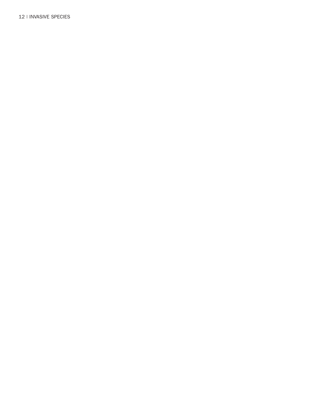12 | INVASIVE SPECIES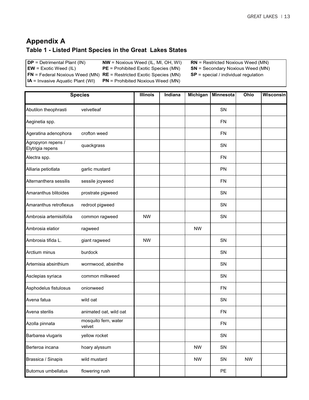| $ DP = Determinental Plant (IN)$ | $NW = Noxious Weed (IL, MI, OH, WI)$                                                                                                                | $RN =$ Restricted Noxious Weed (MN)    |
|----------------------------------|-----------------------------------------------------------------------------------------------------------------------------------------------------|----------------------------------------|
| $ EW =$ Exotic Weed (IL)         | $PE =$ Prohibited Exotic Species (MN)                                                                                                               | $SN =$ Secondary Noxious Weed (MN)     |
|                                  | $ FN $ = Federal Noxious Weed (MN) $RE$ = Restricted Exotic Species (MN)                                                                            | $SP = special / individual regulation$ |
|                                  | $ \mathbf{IA}  = \mathbf{In}$ and $\mathbf{A}$ and $\mathbf{B}$ and $\mathbf{B}$ and $\mathbf{B}$ and $\mathbf{B}$ are Prohibited Noxious Weed (MN) |                                        |
|                                  |                                                                                                                                                     |                                        |

|                                        | <b>Species</b>                 | <b>Illinois</b> | Indiana | Michigan  | <b>Minnesota</b> | Ohio      | Wisconsin |
|----------------------------------------|--------------------------------|-----------------|---------|-----------|------------------|-----------|-----------|
| Abutilon theophrasti                   | velvetleaf                     |                 |         |           | SN               |           |           |
| Aeginetia spp.                         |                                |                 |         |           | <b>FN</b>        |           |           |
| Ageratina adenophora                   | crofton weed                   |                 |         |           | <b>FN</b>        |           |           |
| Agropyron repens /<br>Elytrigia repens | quackgrass                     |                 |         |           | SN               |           |           |
| Alectra spp.                           |                                |                 |         |           | <b>FN</b>        |           |           |
| Alliaria petiotlata                    | garlic mustard                 |                 |         |           | <b>PN</b>        |           |           |
| Alternanthera sessilis                 | sessile joyweed                |                 |         |           | <b>FN</b>        |           |           |
| Amaranthus blitoides                   | prostrate pigweed              |                 |         |           | SN               |           |           |
| Amaranthus retroflexus                 | redroot pigweed                |                 |         |           | SN               |           |           |
| Ambrosia artemisiifolia                | common ragweed                 | <b>NW</b>       |         |           | SN               |           |           |
| Ambrosia elatior                       | ragweed                        |                 |         | <b>NW</b> |                  |           |           |
| Ambrosia tifida L.                     | giant ragweed                  | <b>NW</b>       |         |           | SN               |           |           |
| Arctium minus                          | burdock                        |                 |         |           | SN               |           |           |
| Artemisia absinthium                   | wormwood, absinthe             |                 |         |           | SN               |           |           |
| Asclepias syriaca                      | common milkweed                |                 |         |           | SN               |           |           |
| Asphodelus fistulosus                  | onionweed                      |                 |         |           | <b>FN</b>        |           |           |
| Avena fatua                            | wild oat                       |                 |         |           | SN               |           |           |
| Avena sterilis                         | animated oat, wild oat         |                 |         |           | <b>FN</b>        |           |           |
| Azolla pinnata                         | mosquito fern, water<br>velvet |                 |         |           | ${\sf FN}$       |           |           |
| Barbarea vlugaris                      | yellow rocket                  |                 |         |           | SN               |           |           |
| Berteroa incana                        | hoary alyssum                  |                 |         | <b>NW</b> | SN               |           |           |
| Brassica / Sinapis                     | wild mustard                   |                 |         | <b>NW</b> | SN               | <b>NW</b> |           |
| <b>Butomus umbellatus</b>              | flowering rush                 |                 |         |           | <b>PE</b>        |           |           |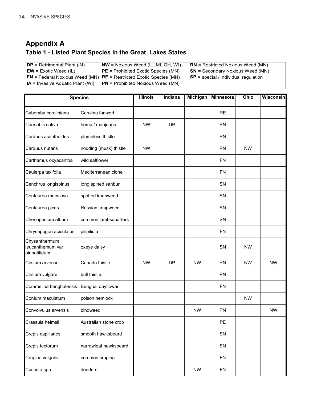| $\mathsf{DP} = \mathsf{Detriment}$ Plant (IN) | $NW = Noxious Weed (IL, MI, OH, WI)$                                     | $RN =$ Restricted Noxious Weed (MN)    |
|-----------------------------------------------|--------------------------------------------------------------------------|----------------------------------------|
| $ \text{EW}$ = Exotic Weed (IL)               | $PE =$ Prohibited Exotic Species (MN)                                    | $SN =$ Secondary Noxious Weed (MN)     |
|                                               | $ FN $ = Federal Noxious Weed (MN) $RE$ = Restricted Exotic Species (MN) | $SP = special / individual regulation$ |
| $ IA = Invasive Aquatic Plant (WI)$           | $PN =$ Prohibited Noxious Weed (MN)                                      |                                        |

| <b>Species</b>                                     |                        | <b>Illinois</b> | Indiana   | Michigan  | Minnesota | Ohio      | Wisconsin |
|----------------------------------------------------|------------------------|-----------------|-----------|-----------|-----------|-----------|-----------|
| Cabomba caroliniana                                | Carolina fanwort       |                 |           |           | <b>RE</b> |           |           |
| Cannabis sativa                                    | hemp / marijuana       | <b>NW</b>       | <b>DP</b> |           | <b>PN</b> |           |           |
| Carduus acanthoides                                | plumeless thistle      |                 |           |           | <b>PN</b> |           |           |
| Carduus nutans                                     | nodding (musk) thistle | <b>NW</b>       |           |           | <b>PN</b> | <b>NW</b> |           |
| Carthamus oxyacantha                               | wild safflower         |                 |           |           | <b>FN</b> |           |           |
| Caulerpa taxifolia                                 | Mediterranean clone    |                 |           |           | <b>FN</b> |           |           |
| Cenchrus longispinus                               | long spined sanbur     |                 |           |           | SN        |           |           |
| Centaurea maculosa                                 | spotted knapweed       |                 |           |           | SN        |           |           |
| Centaurea picris                                   | Russian knapweed       |                 |           |           | SN        |           |           |
| Chenopodium album                                  | common lambsquarters   |                 |           |           | SN        |           |           |
| Chrysopogon aciculatus                             | pilipiliula            |                 |           |           | <b>FN</b> |           |           |
| Chysanthermum<br>leucanthemum var.<br>pinnatifidum | oxeye daisy            |                 |           |           | SN        | <b>NW</b> |           |
| Cirsium arvense                                    | Canada thistle         | <b>NW</b>       | <b>DP</b> | <b>NW</b> | <b>PN</b> | <b>NW</b> | <b>NW</b> |
| Cirsium vulgare                                    | bull thistle           |                 |           |           | <b>PN</b> |           |           |
| Commelina benghalensis Benghal dayflower           |                        |                 |           |           | <b>FN</b> |           |           |
| Conium maculatum                                   | poison hemlock         |                 |           |           |           | <b>NW</b> |           |
| Convolvulus arvensis                               | bindweed               |                 |           | <b>NW</b> | <b>PN</b> |           | <b>NW</b> |
| Crassula helmsii                                   | Australian stone crop  |                 |           |           | PE        |           |           |
| Crepis capillaries                                 | smooth hawksbeard      |                 |           |           | SN        |           |           |
| Crepis tectorum                                    | narrowleaf hawksbeard  |                 |           |           | SN        |           |           |
| Crupina vulgaris                                   | common crupina         |                 |           |           | <b>FN</b> |           |           |
| Cuscuta spp.                                       | dodders                |                 |           | <b>NW</b> | <b>FN</b> |           |           |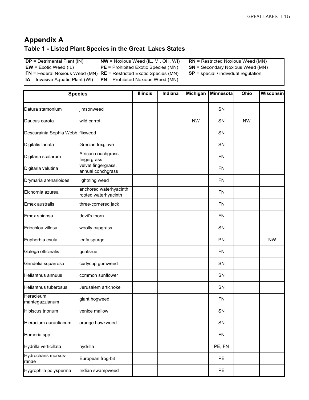| $ DP = Detrimental Plant (IN)$ | $NW = Noxious Weed (IL, MI, OH, WI)$                                     | $RN =$ Restricted Noxious Weed (MN)    |
|--------------------------------|--------------------------------------------------------------------------|----------------------------------------|
| $ EW$ = Exotic Weed (IL)       | $PE =$ Prohibited Exotic Species (MN)                                    | $SN =$ Secondary Noxious Weed (MN)     |
|                                | $ FN $ = Federal Noxious Weed (MN) $RE$ = Restricted Exotic Species (MN) | $SP = special / individual regulation$ |
|                                | $ IA =$ Invasive Aquatic Plant (WI) $PN =$ Prohibited Noxious Weed (MN)  |                                        |
|                                |                                                                          |                                        |

|                                  | <b>Species</b>                                  | <b>Illinois</b> | Indiana | <b>Michigan</b> | <b>Minnesota</b> | Ohio      | <b>Wisconsin</b> |
|----------------------------------|-------------------------------------------------|-----------------|---------|-----------------|------------------|-----------|------------------|
| Datura stamonium                 | jimsonweed                                      |                 |         |                 | SN               |           |                  |
| Daucus carota                    | wild carrot                                     |                 |         | <b>NW</b>       | <b>SN</b>        | <b>NW</b> |                  |
| Descurainia Sophia Webb flixweed |                                                 |                 |         |                 | SN               |           |                  |
| Digitalis lanata                 | Grecian foxglove                                |                 |         |                 | SN               |           |                  |
| Digitaria scalarum               | African couchgrass,<br>fingergrass              |                 |         |                 | <b>FN</b>        |           |                  |
| Digitaria velutina               | velvet fingergrass,<br>annual conchgrass        |                 |         |                 | <b>FN</b>        |           |                  |
| Drymaria arenarioides            | lightning weed                                  |                 |         |                 | <b>FN</b>        |           |                  |
| Eichornia azurea                 | anchored waterhyacinth,<br>rooted waterhyacinth |                 |         |                 | <b>FN</b>        |           |                  |
| <b>Emex australis</b>            | three-cornered jack                             |                 |         |                 | <b>FN</b>        |           |                  |
| Emex spinosa                     | devil's thorn                                   |                 |         |                 | <b>FN</b>        |           |                  |
| Eriochloa villosa                | woolly cupgrass                                 |                 |         |                 | SN               |           |                  |
| Euphorbia esula                  | leafy spurge                                    |                 |         |                 | PN               |           | <b>NW</b>        |
| Galega officinalis               | goatsrue                                        |                 |         |                 | <b>FN</b>        |           |                  |
| Grindelia squarrosa              | curlycup gumweed                                |                 |         |                 | SN               |           |                  |
| Helianthus annuus                | common sunflower                                |                 |         |                 | SN               |           |                  |
| Helianthus tuberosus             | Jerusalem artichoke                             |                 |         |                 | SN               |           |                  |
| Heracleum<br>mantegazzianum      | giant hogweed                                   |                 |         |                 | <b>FN</b>        |           |                  |
| Hibiscus trionum                 | venice mallow                                   |                 |         |                 | SN               |           |                  |
| Hieracium aurantiacum            | orange hawkweed                                 |                 |         |                 | SN               |           |                  |
| Homeria spp.                     |                                                 |                 |         |                 | <b>FN</b>        |           |                  |
| Hydrilla verticillata            | hydrilla                                        |                 |         |                 | PE, FN           |           |                  |
| Hydrocharis morsus-<br>ranae     | European frog-bit                               |                 |         |                 | PE               |           |                  |
| Hygrophila polysperma            | Indian swampweed                                |                 |         |                 | <b>PE</b>        |           |                  |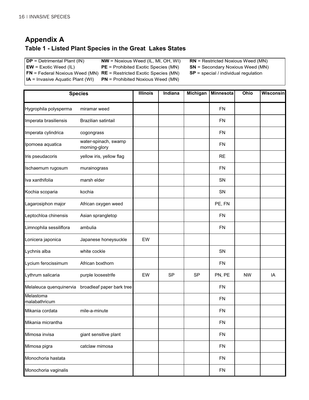**DP** = Detrimental Plant (IN) **NW** = Noxious Weed (IL, MI, OH, WI) **RN** = Restricted Noxious Weed (MN)  **EW** = Exotic Weed (IL) **PE** = Prohibited Exotic Species (MN) **SN** = Secondary Noxious Weed (MN)  **FN** = Federal Noxious Weed (MN) **RE** = Restricted Exotic Species (MN) **SP** = special / individual regulation  **IA** = Invasive Aquatic Plant (WI) **PN** = Prohibited Noxious Weed (MN)

|                            | <b>Species</b>                        | <b>Illinois</b> | Indiana   | <b>Michigan</b> | <b>Minnesota</b> | Ohio      | <b>Wisconsin</b> |
|----------------------------|---------------------------------------|-----------------|-----------|-----------------|------------------|-----------|------------------|
| Hygrophila polysperma      | miramar weed                          |                 |           |                 | <b>FN</b>        |           |                  |
| Imperata brasiliensis      | Brazilian satintail                   |                 |           |                 | <b>FN</b>        |           |                  |
| Imperata cylindrica        | cogongrass                            |                 |           |                 | <b>FN</b>        |           |                  |
| Ipomoea aquatica           | water-spinach, swamp<br>morning-glory |                 |           |                 | <b>FN</b>        |           |                  |
| Iris pseudacoris           | yellow iris, yellow flag              |                 |           |                 | <b>RE</b>        |           |                  |
| Ischaemum rugosum          | murainograss                          |                 |           |                 | <b>FN</b>        |           |                  |
| Iva xanthifolia            | marsh elder                           |                 |           |                 | SN               |           |                  |
| Kochia scoparia            | kochia                                |                 |           |                 | SN               |           |                  |
| Lagarosiphon major         | African oxygen weed                   |                 |           |                 | PE, FN           |           |                  |
| Leptochloa chinensis       | Asian sprangletop                     |                 |           |                 | <b>FN</b>        |           |                  |
| Limnophila sessiliflora    | ambulia                               |                 |           |                 | <b>FN</b>        |           |                  |
| Lonicera japonica          | Japanese honeysuckle                  | EW              |           |                 |                  |           |                  |
| Lychnis alba               | white cockle                          |                 |           |                 | SN               |           |                  |
| Lycium ferocissimum        | African boxthorn                      |                 |           |                 | <b>FN</b>        |           |                  |
| Lythrum salicaria          | purple loosestrife                    | EW              | <b>SP</b> | <b>SP</b>       | PN, PE           | <b>NW</b> | IA               |
| Melaleuca quenquinervia    | broadleaf paper bark tree             |                 |           |                 | <b>FN</b>        |           |                  |
| Melastoma<br>malabathricum |                                       |                 |           |                 | <b>FN</b>        |           |                  |
| Mikania cordata            | mile-a-minute                         |                 |           |                 | <b>FN</b>        |           |                  |
| Mikania micrantha          |                                       |                 |           |                 | <b>FN</b>        |           |                  |
| Mimosa invisa              | giant sensitive plant                 |                 |           |                 | <b>FN</b>        |           |                  |
| Mimosa pigra               | catclaw mimosa                        |                 |           |                 | <b>FN</b>        |           |                  |
| Monochoria hastata         |                                       |                 |           |                 | <b>FN</b>        |           |                  |
| Monochoria vaginalis       |                                       |                 |           |                 | <b>FN</b>        |           |                  |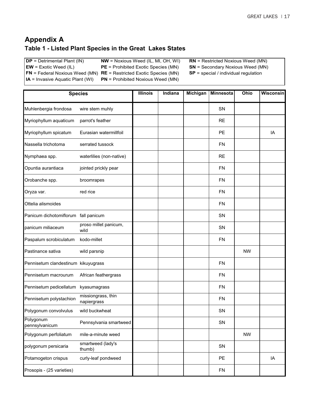| $\mathsf{DP} = \mathsf{Detrimental}$ Plant (IN) | $NW = Noxious Weed (IL, MI, OH, WI)$                                     | $RN =$ Restricted Noxious Weed (MN)    |
|-------------------------------------------------|--------------------------------------------------------------------------|----------------------------------------|
| $ EW =$ Exotic Weed (IL)                        | $PE =$ Prohibited Exotic Species (MN)                                    | $SN =$ Secondary Noxious Weed (MN)     |
|                                                 | $ FN $ = Federal Noxious Weed (MN) $RE$ = Restricted Exotic Species (MN) | $SP = special / individual regulation$ |
|                                                 | $ IA = Invasive Aquatic Plant (WI)$ $PN = Prohibited Novious Weed (MN)$  |                                        |
|                                                 |                                                                          |                                        |

|                                      | <b>Species</b>                    | <b>Illinois</b> | Indiana | Michigan | <b>Minnesota</b> | Ohio      | <b>Wisconsin</b> |
|--------------------------------------|-----------------------------------|-----------------|---------|----------|------------------|-----------|------------------|
| Muhlenbergia frondosa                | wire stem muhly                   |                 |         |          | SN               |           |                  |
| Myriophyllum aquaticum               | parrot's feather                  |                 |         |          | <b>RE</b>        |           |                  |
| Myriophyllum spicatum                | Eurasian watermillfoil            |                 |         |          | <b>PE</b>        |           | IA               |
| Nassella trichotoma                  | serrated tussock                  |                 |         |          | <b>FN</b>        |           |                  |
| Nymphaea spp.                        | waterlilies (non-native)          |                 |         |          | <b>RE</b>        |           |                  |
| Opuntia aurantiaca                   | jointed prickly pear              |                 |         |          | <b>FN</b>        |           |                  |
| Orobanche spp.                       | broomrapes                        |                 |         |          | <b>FN</b>        |           |                  |
| Oryza var.                           | red rice                          |                 |         |          | <b>FN</b>        |           |                  |
| Ottelia alismoides                   |                                   |                 |         |          | <b>FN</b>        |           |                  |
| Panicum dichotomiflorum fall panicum |                                   |                 |         |          | <b>SN</b>        |           |                  |
| panicum miliaceum                    | proso millet panicum,<br>wild     |                 |         |          | SN               |           |                  |
| Paspalum scrobiculatum               | kodo-millet                       |                 |         |          | <b>FN</b>        |           |                  |
| Pastinance sativa                    | wild parsnip                      |                 |         |          |                  | <b>NW</b> |                  |
| Pennisetum clandestinum kikuyugrass  |                                   |                 |         |          | <b>FN</b>        |           |                  |
| Pennisetum macrourum                 | African feathergrass              |                 |         |          | <b>FN</b>        |           |                  |
| Pennisetum pedicellatum              | kyasumagrass                      |                 |         |          | <b>FN</b>        |           |                  |
| Pennisetum polystachion              | missiongrass, thin<br>napiergrass |                 |         |          | <b>FN</b>        |           |                  |
| Polygonum convolvulus                | wild buckwheat                    |                 |         |          | SN               |           |                  |
| Polygonum<br>pennsylvanicum          | Pennsylvania smartweed            |                 |         |          | SN               |           |                  |
| Polygonum perfoliatum                | mile-a-minute weed                |                 |         |          |                  | <b>NW</b> |                  |
| polygonum persicaria                 | smartweed (lady's<br>thumb)       |                 |         |          | SN               |           |                  |
| Potamogeton crispus                  | curly-leaf pondweed               |                 |         |          | <b>PE</b>        |           | IA               |
| Prosopis - (25 varieties)            |                                   |                 |         |          | <b>FN</b>        |           |                  |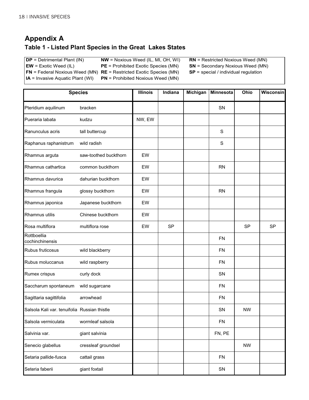**DP** = Detrimental Plant (IN) **NW** = Noxious Weed (IL, MI, OH, WI) **RN** = Restricted Noxious Weed (MN)  **EW** = Exotic Weed (IL) **PE** = Prohibited Exotic Species (MN) **SN** = Secondary Noxious Weed (MN)  **FN** = Federal Noxious Weed (MN) **RE** = Restricted Exotic Species (MN) **SP** = special / individual regulation  **IA** = Invasive Aquatic Plant (WI) **PN** = Prohibited Noxious Weed (MN)

|                                              | <b>Species</b>        |        | Indiana   | Michigan | <b>Minnesota</b> | Ohio      | <b>Wisconsin</b> |
|----------------------------------------------|-----------------------|--------|-----------|----------|------------------|-----------|------------------|
| Pteridium aquilinum                          | bracken               |        |           |          | SN               |           |                  |
| Pueraria labata                              | kudzu                 | NW, EW |           |          |                  |           |                  |
| Ranunculus acris                             | tall buttercup        |        |           |          | S                |           |                  |
| Raphanus raphanistrum                        | wild radish           |        |           |          | $\mathsf S$      |           |                  |
| Rhamnus arguta                               | saw-toothed buckthorn | EW     |           |          |                  |           |                  |
| Rhamnus cathartica                           | common buckthorn      | EW     |           |          | <b>RN</b>        |           |                  |
| Rhamnus davurica                             | dahurian buckthorn    | EW     |           |          |                  |           |                  |
| Rhamnus frangula                             | glossy buckthorn      | EW     |           |          | <b>RN</b>        |           |                  |
| Rhamnus japonica                             | Japanese buckthorn    | EW     |           |          |                  |           |                  |
| Rhamnus utilis                               | Chinese buckthorn     | EW     |           |          |                  |           |                  |
| Rosa multiflora                              | multiflora rose       | EW     | <b>SP</b> |          |                  | <b>SP</b> | <b>SP</b>        |
| Rottboellia<br>cochinchinensis               |                       |        |           |          | <b>FN</b>        |           |                  |
| Rubus fruticosus                             | wild blackberry       |        |           |          | <b>FN</b>        |           |                  |
| Rubus moluccanus                             | wild raspberry        |        |           |          | <b>FN</b>        |           |                  |
| Rumex crispus                                | curly dock            |        |           |          | SN               |           |                  |
| Saccharum spontaneum                         | wild sugarcane        |        |           |          | <b>FN</b>        |           |                  |
| Sagittaria sagittifolia                      | arrowhead             |        |           |          | <b>FN</b>        |           |                  |
| Salsola Kali var. tenuifolia Russian thistle |                       |        |           |          | SN               | <b>NW</b> |                  |
| Salsola vermiculata                          | wormleaf salsola      |        |           |          | <b>FN</b>        |           |                  |
| Salvinia var.                                | giant salvinia        |        |           |          | FN, PE           |           |                  |
| Senecio glabellus                            | cressleaf groundsel   |        |           |          |                  | <b>NW</b> |                  |
| Setaria pallide-fusca                        | cattail grass         |        |           |          | <b>FN</b>        |           |                  |
| Seteria faberii                              | giant foxtail         |        |           |          | SN               |           |                  |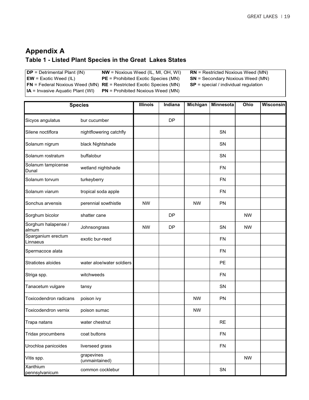| <b>DP</b> = Detrimental Plant (IN)        | $NW = Noxious Weed (IL, MI, OH, WI)$                                                     | $RN =$ Restricted Noxious Weed (MN)    |
|-------------------------------------------|------------------------------------------------------------------------------------------|----------------------------------------|
| $\mathsf{E}\mathsf{W}$ = Exotic Weed (IL) | $PE =$ Prohibited Exotic Species (MN)                                                    | $SN =$ Secondary Noxious Weed (MN)     |
|                                           | $\mathsf{FN}$ = Federal Noxious Weed (MN) $\mathsf{RE}$ = Restricted Exotic Species (MN) | $SP = special / individual regulation$ |
|                                           | $ IA = Invasive Aquatic Plant (WI)$ $PN = Prohibited Novious Weed (MN)$                  |                                        |

| <b>Species</b>                 |                              | <b>Illinois</b> | Indiana   | <b>Michigan</b> | <b>Minnesota</b> | Ohio      | Wisconsin |
|--------------------------------|------------------------------|-----------------|-----------|-----------------|------------------|-----------|-----------|
|                                |                              |                 |           |                 |                  |           |           |
| Sicyos angulatus               | bur cucumber                 |                 | <b>DP</b> |                 |                  |           |           |
| Silene noctiflora              | nightflowering catchfly      |                 |           |                 | SN               |           |           |
| Solanum nigrum                 | black Nightshade             |                 |           |                 | SN               |           |           |
| Solanum rostratum              | buffalobur                   |                 |           |                 | SN               |           |           |
| Solanum tampicense<br>Dunal    | wetland nightshade           |                 |           |                 | <b>FN</b>        |           |           |
| Solanum torvum                 | turkeyberry                  |                 |           |                 | <b>FN</b>        |           |           |
| Solanum viarum                 | tropical soda apple          |                 |           |                 | <b>FN</b>        |           |           |
| Sonchus arvensis               | perennial sowthistle         | <b>NW</b>       |           | <b>NW</b>       | <b>PN</b>        |           |           |
| Sorghum bicolor                | shatter cane                 |                 | <b>DP</b> |                 |                  | <b>NW</b> |           |
| Sorghum halapense /<br>almum   | Johnsongrass                 | <b>NW</b>       | <b>DP</b> |                 | SN               | <b>NW</b> |           |
| Sparganium erectum<br>Linnaeus | exotic bur-reed              |                 |           |                 | <b>FN</b>        |           |           |
| Spermacoce alata               |                              |                 |           |                 | <b>FN</b>        |           |           |
| Stratiotes aloides             | water aloe/water soldiers    |                 |           |                 | <b>PE</b>        |           |           |
| Striga spp.                    | witchweeds                   |                 |           |                 | <b>FN</b>        |           |           |
| Tanacetum vulgare              | tansy                        |                 |           |                 | SN               |           |           |
| Toxicodendron radicans         | poison ivy                   |                 |           | <b>NW</b>       | PN               |           |           |
| Toxicodendron vernix           | poison sumac                 |                 |           | <b>NW</b>       |                  |           |           |
| Trapa natans                   | water chestnut               |                 |           |                 | <b>RE</b>        |           |           |
| Tridax procumbens              | coat buttons                 |                 |           |                 | <b>FN</b>        |           |           |
| Urochloa panicoides            | liverseed grass              |                 |           |                 | <b>FN</b>        |           |           |
| Vitis spp.                     | grapevines<br>(unmaintained) |                 |           |                 |                  | <b>NW</b> |           |
| Xanthium<br>pennsylvanicum     | common cocklebur             |                 |           |                 | SN               |           |           |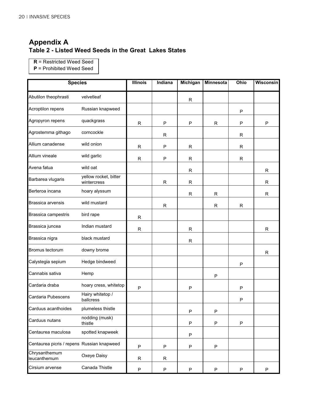## **Appendix A Table 2 - Listed Weed Seeds in the Great Lakes States**

**R** = Restricted Weed Seed

**P** = Prohibited Weed Seed

| <b>Species</b>                             |                                      | <b>Illinois</b> | Indiana   | <b>Michigan</b> | Minnesota | Ohio        | <b>Wisconsin</b> |
|--------------------------------------------|--------------------------------------|-----------------|-----------|-----------------|-----------|-------------|------------------|
| Abutilon theophrasti                       | velvetleaf                           |                 |           | ${\sf R}$       |           |             |                  |
| Acroptilon repens                          | Russian knapweed                     |                 |           |                 |           | P           |                  |
| Agropyron repens                           | quackgrass                           | $\mathsf{R}$    | P         | P               | R         | P           | P                |
| Agrostemma githago                         | corncockle                           |                 | R         |                 |           | R           |                  |
| Allium canadense                           | wild onion                           | $\mathsf{R}$    | P         | ${\sf R}$       |           | $\mathsf R$ |                  |
| Allium vineale                             | wild garlic                          | R               | P         | R               |           | R           |                  |
| Avena fatua                                | wild oat                             |                 |           | R               |           |             | R                |
| Barbarea vlugaris                          | yellow rocket, bitter<br>wintercress |                 | R         | R               |           |             | R                |
| Berteroa incana                            | hoary alyssum                        |                 |           | R               | R         |             | R                |
| Brassica arvensis                          | wild mustard                         |                 | R         |                 | R         | R           |                  |
| Brassica campestris                        | bird rape                            | $\mathsf{R}$    |           |                 |           |             |                  |
| Brassica juncea                            | Indian mustard                       | R               |           | R               |           |             | R.               |
| Brassica nigra                             | black mustard                        |                 |           | R               |           |             |                  |
| Bromus tectorum                            | downy brome                          |                 |           |                 |           |             | R                |
| Calystegia sepium                          | Hedge bindweed                       |                 |           |                 |           | P           |                  |
| Cannabis sativa                            | Hemp                                 |                 |           |                 | P         |             |                  |
| Cardaria draba                             | hoary cress, whitetop                | P               |           | P               |           | P           |                  |
| Cardaria Pubescens                         | Hairy whitetop /<br>ballcress        |                 |           |                 |           | P           |                  |
| Carduus acanthoides                        | plumeless thistle                    |                 |           | $\mathsf{P}$    | P         |             |                  |
| Carduus nutans                             | nodding (musk)<br>thistle            |                 |           | P               | P         | P           |                  |
| Centaurea maculosa                         | spotted knapweek                     |                 |           | ${\sf P}$       |           |             |                  |
| Centaurea picris / repens Russian knapweed |                                      | P               | P         | ${\sf P}$       | P         |             |                  |
| Chrysanthemum<br>leucanthemum              | Oxeye Daisy                          | R               | R         |                 |           |             |                  |
| Cirsium arvense                            | Canada Thistle                       | ${\sf P}$       | ${\sf P}$ | ${\sf P}$       | P         | P           | P                |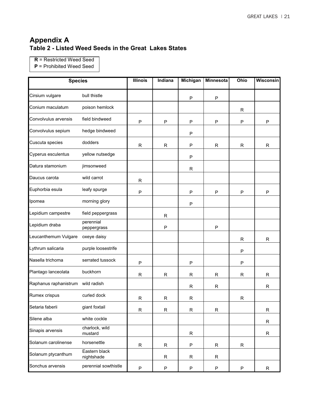## **Appendix A Table 2 - Listed Weed Seeds in the Great Lakes States**

**R** = Restricted Weed Seed

**P** = Prohibited Weed Seed

| <b>Species</b>        |                             | <b>Illinois</b> | Indiana      | <b>Michigan</b> | <b>Minnesota</b> | Ohio | <b>Wisconsin</b> |
|-----------------------|-----------------------------|-----------------|--------------|-----------------|------------------|------|------------------|
| Cirsium vulgare       | bull thistle                |                 |              | P               | P                |      |                  |
| Conium maculatum      | poison hemlock              |                 |              |                 |                  | R    |                  |
| Convolvulus arvensis  | field bindweed              | P               | P            | P               | P                | P    | P                |
| Convolvulus sepium    | hedge bindweed              |                 |              | P               |                  |      |                  |
| Cuscuta species       | dodders                     | $\mathsf R$     | $\mathsf{R}$ | P               | R                | R    | ${\sf R}$        |
| Cyperus esculentus    | yellow nutsedge             |                 |              | P               |                  |      |                  |
| Datura stamonium      | jimsonweed                  |                 |              | R               |                  |      |                  |
| Daucus carota         | wild carrot                 | R               |              |                 |                  |      |                  |
| Euphorbia esula       | leafy spurge                | $\mathsf{P}$    |              | P               | P                | P    | P                |
| Ipomea                | morning glory               |                 |              | P               |                  |      |                  |
| Lepidium campestre    | field peppergrass           |                 | R            |                 |                  |      |                  |
| Lepidium draba        | perennial<br>peppergrass    |                 | P            |                 | P                |      |                  |
| Leucanthemum Vulgare  | oxeye daisy                 |                 |              |                 |                  | R    | R                |
| Lythrum salicaria     | purple loosestrife          |                 |              |                 |                  | P    |                  |
| Nasella trichoma      | serrated tussock            | P               |              | P               |                  | P    |                  |
| Plantago lanceolata   | buckhorn                    | R               | R            | R               | R                | R    | R                |
| Raphanus raphanistrum | wild radish                 |                 |              | R               | R                |      | R                |
| Rumex crispus         | curled dock                 | R               | R            | R               |                  | R    |                  |
| Setaria faberii       | giant foxtail               | $\mathsf R$     | $\mathsf{R}$ | ${\sf R}$       | $\mathsf R$      |      | $\mathsf{R}$     |
| Silene alba           | white cockle                |                 |              |                 |                  |      | R                |
| Sinapis arvensis      | charlock, wild<br>mustard   |                 |              | $\mathsf R$     |                  |      | $\mathsf{R}$     |
| Solanum carolinense   | horsenettle                 | R               | $\mathsf{R}$ | P               | R                | R    |                  |
| Solanum ptycanthum    | Eastern black<br>nightshade |                 | $\mathsf R$  | R               | R                |      |                  |
| Sonchus arvensis      | perennial sowthistle        | $\sf P$         | ${\sf P}$    | ${\sf P}$       | P                | P    | $\mathsf R$      |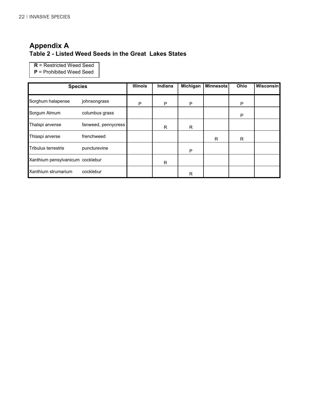## **Appendix A Table 2 - Listed Weed Seeds in the Great Lakes States**

**R** = Restricted Weed Seed

**P** = Prohibited Weed Seed

| <b>Species</b>                   |                     | <b>Illinois</b> | Indiana | <b>Michigan</b> | Minnesota | <b>Ohio</b> | Wisconsin |
|----------------------------------|---------------------|-----------------|---------|-----------------|-----------|-------------|-----------|
| Sorghum halapense                | johnsongrass        | P               | P       | P               |           | P           |           |
| Sorgum Almum                     | columbus grass      |                 |         |                 |           | P           |           |
| Thalspi arvense                  | fanweed, pennycress |                 | R       | R               |           |             |           |
| Thlaspi arverse                  | frenchweed          |                 |         |                 | R         | R           |           |
| <b>Tribulus terrestris</b>       | puncturevine        |                 |         | P               |           |             |           |
| Xanthium pensylvanicum cocklebur |                     |                 | R       |                 |           |             |           |
| Xanthium strumarium              | cocklebur           |                 |         | R               |           |             |           |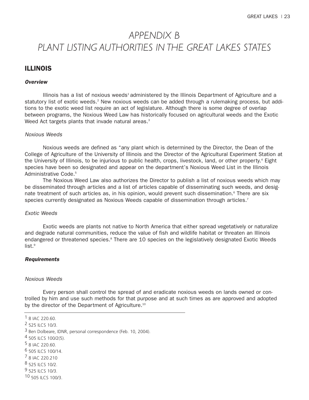## *APPENDIX B PLANT LISTING AUTHORITIES IN THE GREAT LAKES STATES*

### ILLINOIS

#### **Overview**

Illinois has a list of noxious weeds<sup>1</sup> administered by the Illinois Department of Agriculture and a statutory list of exotic weeds.<sup>2</sup> New noxious weeds can be added through a rulemaking process, but additions to the exotic weed list require an act of legislature. Although there is some degree of overlap between programs, the Noxious Weed Law has historically focused on agricultural weeds and the Exotic Weed Act targets plants that invade natural areas.<sup>3</sup>

#### Noxious Weeds

Noxious weeds are defined as "any plant which is determined by the Director, the Dean of the College of Agriculture of the University of Illinois and the Director of the Agricultural Experiment Station at the University of Illinois, to be injurious to public health, crops, livestock, land, or other property.<sup>4</sup> Eight species have been so designated and appear on the department's Noxious Weed List in the Illinois Administrative Code.<sup>5</sup>

The Noxious Weed Law also authorizes the Director to publish a list of noxious weeds which may be disseminated through articles and a list of articles capable of disseminating such weeds, and designate treatment of such articles as, in his opinion, would prevent such dissemination.<sup>6</sup> There are six species currently designated as Noxious Weeds capable of dissemination through articles.<sup>7</sup>

#### Exotic Weeds

Exotic weeds are plants not native to North America that either spread vegetatively or naturalize and degrade natural communities, reduce the value of fish and wildlife habitat or threaten an Illinois endangered or threatened species.<sup>8</sup> There are 10 species on the legislatively designated Exotic Weeds  $list.9$ 

#### **Requirements**

#### Noxious Weeds

Every person shall control the spread of and eradicate noxious weeds on lands owned or controlled by him and use such methods for that purpose and at such times as are approved and adopted by the director of the Department of Agriculture.<sup>10</sup>

- $6$  505 ILCS 100/14
- 7 8 IAC 220.210
- 8 525 ILCS 10/2.
- 9 525 ILCS 10/3.
- 10 505 ILCS 100/3.

<sup>1</sup> 8 IAC 220.60.

<sup>2</sup> 525 ILCS 10/3.

<sup>3</sup> Ben Dolbeare, IDNR, personal correspondence (Feb. 10, 2004).

<sup>4</sup> 505 ILCS 100/2(5).

<sup>5</sup> 8 IAC 220.60.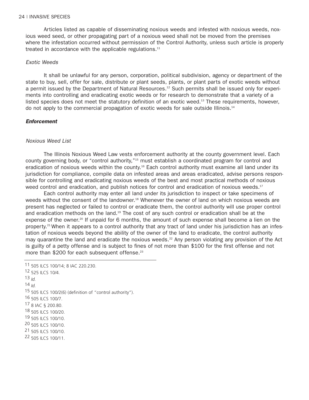Articles listed as capable of disseminating noxious weeds and infested with noxious weeds, noxious weed seed, or other propagating part of a noxious weed shall not be moved from the premises where the infestation occurred without permission of the Control Authority, unless such article is properly treated in accordance with the applicable regulations. $11$ 

#### Exotic Weeds

It shall be unlawful for any person, corporation, political subdivision, agency or department of the state to buy, sell, offer for sale, distribute or plant seeds, plants, or plant parts of exotic weeds without a permit issued by the Department of Natural Resources.<sup>12</sup> Such permits shall be issued only for experiments into controlling and eradicating exotic weeds or for research to demonstrate that a variety of a listed species does not meet the statutory definition of an exotic weed.<sup>13</sup> These requirements, however, do not apply to the commercial propagation of exotic weeds for sale outside Illinois.<sup>14</sup>

#### **Enforcement**

#### Noxious Weed List

The Illinois Noxious Weed Law vests enforcement authority at the county government level. Each county governing body, or "control authority,"15 must establish a coordinated program for control and eradication of noxious weeds within the county.<sup>16</sup> Each control authority must examine all land under its jurisdiction for compliance, compile data on infested areas and areas eradicated, advise persons responsible for controlling and eradicating noxious weeds of the best and most practical methods of noxious weed control and eradication, and publish notices for control and eradication of noxious weeds.<sup>17</sup>

Each control authority may enter all land under its jurisdiction to inspect or take specimens of weeds without the consent of the landowner.<sup>18</sup> Whenever the owner of land on which noxious weeds are present has neglected or failed to control or eradicate them, the control authority will use proper control and eradication methods on the land. $19$  The cost of any such control or eradication shall be at the expense of the owner.<sup>20</sup> If unpaid for 6 months, the amount of such expense shall become a lien on the property.<sup>21</sup> When it appears to a control authority that any tract of land under his jurisdiction has an infestation of noxious weeds beyond the ability of the owner of the land to eradicate, the control authority may quarantine the land and eradicate the noxious weeds.<sup>22</sup> Any person violating any provision of the Act is guilty of a petty offense and is subject to fines of not more than \$100 for the first offense and not more than \$200 for each subsequent offense.<sup>23</sup>

```
11 505 ILCS 100/14; 8 IAC 220.230. 
12 525 ILCS 10/4.
13 Id.
14 Id.
15 505 ILCS 100/2(6) (definition of "control authority").
16 505 ILCS 100/7.
17 8 IAC § 200.80.
18 505 ILCS 100/20.
19 505 ILCS 100/10.
20 505 ILCS 100/10.
21 505 ILCS 100/10.
22 505 ILCS 100/11.
```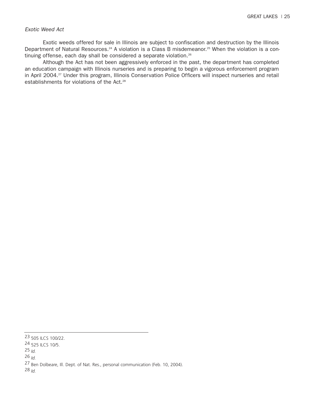#### Exotic Weed Act

Exotic weeds offered for sale in Illinois are subject to confiscation and destruction by the Illinois Department of Natural Resources.<sup>24</sup> A violation is a Class B misdemeanor.<sup>25</sup> When the violation is a continuing offense, each day shall be considered a separate violation.<sup>26</sup>

Although the Act has not been aggressively enforced in the past, the department has completed an education campaign with Illinois nurseries and is preparing to begin a vigorous enforcement program in April 2004.27 Under this program, Illinois Conservation Police Officers will inspect nurseries and retail establishments for violations of the Act.<sup>28</sup>

28 *Id.*

<sup>23</sup> 505 ILCS 100/22.

<sup>24</sup> 525 ILCS 10/5.

<sup>25</sup> *Id.*

<sup>26</sup> *Id.*

<sup>27</sup> Ben Dolbeare, Ill. Dept. of Nat. Res., personal communication (Feb. 10, 2004).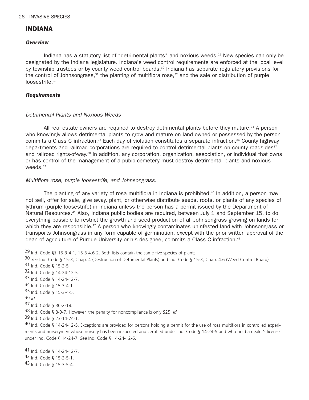#### INDIANA

#### **Overview**

Indiana has a statutory list of "detrimental plants" and noxious weeds.<sup>29</sup> New species can only be designated by the Indiana legislature. Indiana's weed control requirements are enforced at the local level by township trustees or by county weed control boards.<sup>30</sup> Indiana has separate regulatory provisions for the control of Johnsongrass, $31$  the planting of multiflora rose, $32$  and the sale or distribution of purple loosestrife.33

#### **Requirements**

#### Detrimental Plants and Noxious Weeds

All real estate owners are required to destroy detrimental plants before they mature. $34$  A person who knowingly allows detrimental plants to grow and mature on land owned or possessed by the person commits a Class C infraction.<sup>35</sup> Each day of violation constitutes a separate infraction.<sup>36</sup> County highway departments and railroad corporations are required to control detrimental plants on county roadsides $37$ and railroad rights-of-way.<sup>38</sup> In addition, any corporation, organization, association, or individual that owns or has control of the management of a pubic cemetery must destroy detrimental plants and noxious weeds.<sup>39</sup>

#### Multiflora rose, purple loosestrife, and Johnsongrass.

The planting of any variety of rosa multiflora in Indiana is prohibited.<sup>40</sup> In addition, a person may not sell, offer for sale, give away, plant, or otherwise distribute seeds, roots, or plants of any species of lythrum (purple loosestrife) in Indiana unless the person has a permit issued by the Department of Natural Resources.<sup>41</sup> Also, Indiana public bodies are required, between July 1 and September 15, to do everything possible to restrict the growth and seed production of all Johnsongrass growing on lands for which they are responsible.<sup>42</sup> A person who knowingly contaminates uninfested land with Johnsongrass or transports Johnsongrass in any form capable of germination, except with the prior written approval of the dean of agriculture of Purdue University or his designee, commits a Class C infraction.<sup>43</sup>

32 Ind. Code § 14-24-12-5.

33 Ind. Code § 14-24-12-7.

34 Ind. Code § 15-3-4-1.

35 Ind. Code § 15-3-4-5.

36 *Id.*

37 Ind. Code § 36-2-18.

38 Ind. Code § 8-3-7. However, the penalty for noncompliance is only \$25. *Id.*

39 Ind. Code § 23-14-74-1.

 $40$  Ind. Code § 14-24-12-5. Exceptions are provided for persons holding a permit for the use of rosa multiflora in controlled experiments and nurserymen whose nursery has been inspected and certified under Ind. Code § 14-24-5 and who hold a dealer's license under Ind. Code § 14-24-7. *See* Ind. Code § 14-24-12-6.

41 Ind. Code § 14-24-12-7. 42 Ind. Code § 15-3-5-1. 43 Ind. Code § 15-3-5-4.

<sup>29</sup> Ind. Code §§ 15-3-4-1, 15-3-4.6-2. Both lists contain the same five species of plants.

<sup>30</sup> *See* Ind. Code § 15-3, Chap. 4 (Destruction of Detrimental Plants) and Ind. Code § 15-3, Chap. 4.6 (Weed Control Board).

<sup>31</sup> Ind. Code § 15-3-5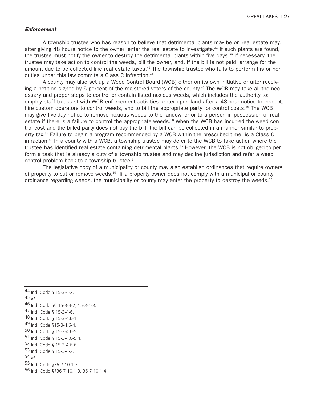#### **Enforcement**

A township trustee who has reason to believe that detrimental plants may be on real estate may, after giving 48 hours notice to the owner, enter the real estate to investigate.<sup>44</sup> If such plants are found, the trustee must notify the owner to destroy the detrimental plants within five days.<sup>45</sup> If necessary, the trustee may take action to control the weeds, bill the owner, and, if the bill is not paid, arrange for the amount due to be collected like real estate taxes.<sup>46</sup> The township trustee who falls to perform his or her duties under this law commits a Class C infraction.<sup>47</sup>

A county may also set up a Weed Control Board (WCB) either on its own initiative or after receiving a petition signed by 5 percent of the registered voters of the county.<sup>48</sup> The WCB may take all the necessary and proper steps to control or contain listed noxious weeds, which includes the authority to: employ staff to assist with WCB enforcement activities, enter upon land after a 48-hour notice to inspect, hire custom operators to control weeds, and to bill the appropriate party for control costs.<sup>49</sup> The WCB may give five-day notice to remove noxious weeds to the landowner or to a person in possession of real estate if there is a failure to control the appropriate weeds.<sup>50</sup> When the WCB has incurred the weed control cost and the billed party does not pay the bill, the bill can be collected in a manner similar to property tax.51 Failure to begin a program recommended by a WCB within the prescribed time, is a Class C infraction.52 In a county with a WCB, a township trustee may defer to the WCB to take action where the trustee has identified real estate containing detrimental plants.<sup>53</sup> However, the WCB is not obliged to perform a task that is already a duty of a township trustee and may decline jurisdiction and refer a weed control problem back to a township trustee.<sup>54</sup>

The legislative body of a municipality or county may also establish ordinances that require owners of property to cut or remove weeds.<sup>55</sup> If a property owner does not comply with a municipal or county ordinance regarding weeds, the municipality or county may enter the property to destroy the weeds.<sup>56</sup>

 Ind. Code § 15-3-4-2. 45 *Id.* Ind. Code §§ 15-3-4-2, 15-3-4-3. Ind. Code § 15-3-4-6. Ind. Code § 15-3-4.6-1. Ind. Code §15-3-4.6-4. Ind. Code § 15-3-4.6-5. Ind. Code § 15-3-4.6-5.4. Ind. Code § 15-3-4.6-6. Ind. Code § 15-3-4-2. 54 *Id.* Ind. Code §36-7-10.1-3. Ind. Code §§36-7-10.1-3, 36-7-10.1-4.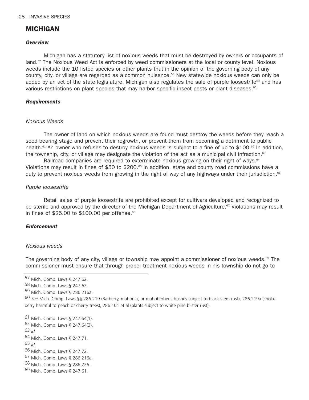#### MICHIGAN

#### **Overview**

Michigan has a statutory list of noxious weeds that must be destroyed by owners or occupants of land.<sup>57</sup> The Noxious Weed Act is enforced by weed commissioners at the local or county level. Noxious weeds include the 10 listed species or other plants that in the opinion of the governing body of any county, city, or village are regarded as a common nuisance.58 New statewide noxious weeds can only be added by an act of the state legislature. Michigan also regulates the sale of purple loosestrife<sup>59</sup> and has various restrictions on plant species that may harbor specific insect pests or plant diseases.<sup>60</sup>

#### **Requirements**

#### Noxious Weeds

The owner of land on which noxious weeds are found must destroy the weeds before they reach a seed bearing stage and prevent their regrowth, or prevent them from becoming a detriment to public health.<sup>61</sup> An owner who refuses to destroy noxious weeds is subject to a fine of up to \$100.<sup>62</sup> In addition, the township, city, or village may designate the violation of the act as a municipal civil infraction.<sup>63</sup>

Railroad companies are required to exterminate noxious growing on their right of ways.<sup>64</sup> Violations may result in fines of \$50 to \$200.<sup>65</sup> In addition, state and county road commissions have a duty to prevent noxious weeds from growing in the right of way of any highways under their jurisdiction.<sup>66</sup>

#### Purple loosestrife

Retail sales of purple loosestrife are prohibited except for cultivars developed and recognized to be sterile and approved by the director of the Michigan Department of Agriculture.<sup>67</sup> Violations may result in fines of  $$25.00$  to  $$100.00$  per offense.<sup>68</sup>

#### **Enforcement**

#### Noxious weeds

The governing body of any city, village or township may appoint a commissioner of noxious weeds.<sup>69</sup> The commissioner must ensure that through proper treatment noxious weeds in his township do not go to

- 61 Mich. Comp. Laws § 247.64(1).
- 62 Mich. Comp. Laws § 247.64(3).
- 63 *Id.*
- 64 Mich. Comp. Laws § 247.71.
- 65 *Id.*
- 66 Mich. Comp. Laws § 247.72.
- 67 Mich. Comp. Laws § 286.216a.
- 68 Mich. Comp. Laws § 286.226.
- 69 Mich. Comp. Laws § 247.61.

<sup>57</sup> Mich. Comp. Laws § 247.62.

<sup>58</sup> Mich. Comp. Laws § 247.62.

<sup>59</sup> Mich. Comp. Laws § 286.216a.

<sup>60</sup> *See* Mich. Comp. Laws §§ 286.219 (Barberry, mahonia, or mahoberberis bushes subject to black stem rust), 286.219a (chokeberry harmful to peach or cherry trees), 286.101 et al (plants subject to white pine blister rust).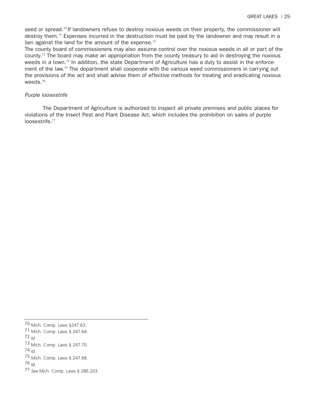seed or spread.<sup>70</sup> If landowners refuse to destroy noxious weeds on their property, the commissioner will destroy them.<sup>71</sup> Expenses incurred in the destruction must be paid by the landowner and may result in a lien against the land for the amount of the expense.<sup>72</sup>

The county board of commissioners may also assume control over the noxious weeds in all or part of the county.<sup>73</sup> The board may make an appropriation from the county treasury to aid in destroying the noxious weeds in a town.<sup>74</sup> In addition, the state Department of Agriculture has a duty to assist in the enforcement of the law.<sup>75</sup> The department shall cooperate with the various weed commissioners in carrying out the provisions of the act and shall advise them of effective methods for treating and eradicating noxious weeds.76

#### Purple loosestrife

The Department of Agriculture is authorized to inspect all private premises and public places for violations of the Insect Pest and Plant Disease Act, which includes the prohibition on sales of purple loosestrife.77

72 *Id.*

<sup>70</sup> Mich. Comp. Laws §247.63.

<sup>71</sup> Mich. Comp. Laws § 247.64.

<sup>73</sup> Mich. Comp. Laws § 247.70.

<sup>74</sup> *Id.*

<sup>75</sup> Mich. Comp. Laws § 247.68.

<sup>76</sup> *Id.*

<sup>77</sup> *See* Mich. Comp. Laws § 286.203.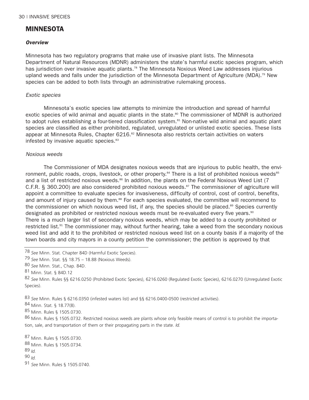### **MINNESOTA**

#### **Overview**

Minnesota has two regulatory programs that make use of invasive plant lists. The Minnesota Department of Natural Resources (MDNR) administers the state's harmful exotic species program, which has jurisdiction over invasive aquatic plants.<sup>78</sup> The Minnesota Noxious Weed Law addresses injurious upland weeds and falls under the jurisdiction of the Minnesota Department of Agriculture (MDA).<sup>79</sup> New species can be added to both lists through an administrative rulemaking process.

#### Exotic species

Minnesota's exotic species law attempts to minimize the introduction and spread of harmful exotic species of wild animal and aquatic plants in the state.<sup>80</sup> The commissioner of MDNR is authorized to adopt rules establishing a four-tiered classification system. $81$  Non-native wild animal and aquatic plant species are classified as either prohibited, regulated, unregulated or unlisted exotic species. These lists appear at Minnesota Rules, Chapter 6216.<sup>82</sup> Minnesota also restricts certain activities on waters infested by invasive aquatic species. $83$ 

#### Noxious weeds

The Commissioner of MDA designates noxious weeds that are injurious to public health, the environment, public roads, crops, livestock, or other property.<sup>84</sup> There is a list of prohibited noxious weeds<sup>85</sup> and a list of restricted noxious weeds.<sup>86</sup> In addition, the plants on the Federal Noxious Weed List (7 C.F.R.  $\S$  360.200) are also considered prohibited noxious weeds.<sup>87</sup> The commissioner of agriculture will appoint a committee to evaluate species for invasiveness, difficulty of control, cost of control, benefits, and amount of injury caused by them.<sup>88</sup> For each species evaluated, the committee will recommend to the commissioner on which noxious weed list, if any, the species should be placed.<sup>89</sup> Species currently designated as prohibited or restricted noxious weeds must be re-evaluated every five years.<sup>90</sup> There is a much larger list of secondary noxious weeds, which may be added to a county prohibited or restricted list.<sup>91</sup> The commissioner may, without further hearing, take a weed from the secondary noxious weed list and add it to the prohibited or restricted noxious weed list on a county basis if a majority of the town boards and city mayors in a county petition the commissioner; the petition is approved by that

83 *See* Minn. Rules § 6216.0350 (infested waters list) and §§ 6216.0400-0500 (restricted activities).

84 Minn. Stat. § 18.77(8).

85 Minn. Rules § 1505.0730.

86 Minn. Rules § 1505.0732. Restricted noxious weeds are plants whose only feasible means of control is to prohibit the importation, sale, and transportation of them or their propagating parts in the state. *Id.*

87 Minn. Rules § 1505.0730.

88 Minn. Rules § 1505.0734.

89 *Id.*

90 *Id.*

<sup>78</sup> *See* Minn. Stat. Chapter 84D (Harmful Exotic Species).

<sup>79</sup> *See* Minn. Stat. §§ 18.75 – 18.88 (Noxious Weeds).

<sup>80</sup> *See* Minn. Stat., Chap. 84D.

<sup>81</sup> Minn. Stat. § 84D.12

<sup>82</sup> *See* Minn. Rules §§ 6216.0250 (Prohibited Exotic Species), 6216.0260 (Regulated Exotic Species), 6216.0270 (Unregulated Exotic Species).

<sup>91</sup> *See* Minn. Rules § 1505.0740.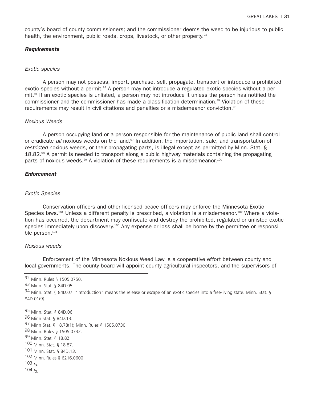county's board of county commissioners; and the commissioner deems the weed to be injurious to public health, the environment, public roads, crops, livestock, or other property.<sup>92</sup>

#### **Requirements**

#### Exotic species

A person may not possess, import, purchase, sell, propagate, transport or introduce a prohibited exotic species without a permit.<sup>93</sup> A person may not introduce a regulated exotic species without a permit.94 If an exotic species is unlisted, a person may not introduce it unless the person has notified the commissioner and the commissioner has made a classification determination.<sup>95</sup> Violation of these requirements may result in civil citations and penalties or a misdemeanor conviction.<sup>96</sup>

#### Noxious Weeds

A person occupying land or a person responsible for the maintenance of public land shall control or eradicate all noxious weeds on the land.<sup>97</sup> In addition, the importation, sale, and transportation of restricted noxious weeds, or their propagating parts, is illegal except as permitted by Minn. Stat. § 18.82.<sup>98</sup> A permit is needed to transport along a public highway materials containing the propagating parts of noxious weeds.<sup>99</sup> A violation of these requirements is a misdemeanor.<sup>100</sup>

#### **Enforcement**

#### Exotic Species

Conservation officers and other licensed peace officers may enforce the Minnesota Exotic Species laws.<sup>101</sup> Unless a different penalty is prescribed, a violation is a misdemeanor.<sup>102</sup> Where a violation has occurred, the department may confiscate and destroy the prohibited, regulated or unlisted exotic species immediately upon discovery.<sup>103</sup> Any expense or loss shall be borne by the permittee or responsible person.<sup>104</sup>

#### Noxious weeds

Enforcement of the Minnesota Noxious Weed Law is a cooperative effort between county and local governments. The county board will appoint county agricultural inspectors, and the supervisors of

 Minn. Stat. § 84D.06. Minn Stat. § 84D.13. Minn Stat. § 18.78(1); Minn. Rules § 1505.0730. Minn. Rules § 1505.0732. Minn. Stat. § 18.82. Minn. Stat. § 18.87. Minn. Stat. § 84D.13. Minn. Rules § 6216.0600. 103 *Id.* 104 *Id.*

<sup>92</sup> Minn. Rules § 1505.0750.

<sup>93</sup> Minn. Stat. § 84D.05.

<sup>94</sup> Minn. Stat. § 84D.07. "Introduction" means the release or escape of an exotic species into a free-living state. Minn. Stat. § 84D.01(9).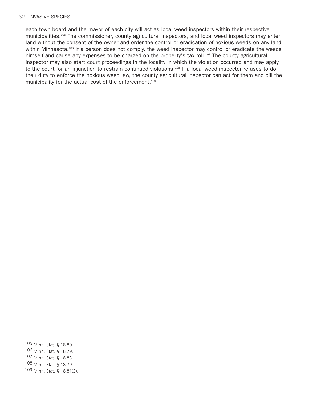each town board and the mayor of each city will act as local weed inspectors within their respective municipalities.105 The commissioner, county agricultural inspectors, and local weed inspectors may enter land without the consent of the owner and order the control or eradication of noxious weeds on any land within Minnesota.<sup>106</sup> If a person does not comply, the weed inspector may control or eradicate the weeds himself and cause any expenses to be charged on the property's tax roll.<sup>107</sup> The county agricultural inspector may also start court proceedings in the locality in which the violation occurred and may apply to the court for an injunction to restrain continued violations.<sup>108</sup> If a local weed inspector refuses to do their duty to enforce the noxious weed law, the county agricultural inspector can act for them and bill the municipality for the actual cost of the enforcement.<sup>109</sup>

- 107 Minn. Stat. § 18.83.
- 108 Minn. Stat. § 18.79.
- 109 Minn. Stat. § 18.81(3).

<sup>105</sup> Minn. Stat. § 18.80.

<sup>106</sup> Minn. Stat. § 18.79.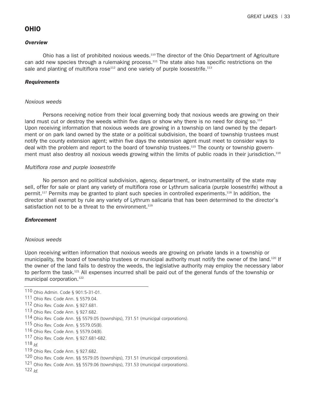### OHIO

#### **Overview**

Ohio has a list of prohibited noxious weeds.<sup>110</sup> The director of the Ohio Department of Agriculture can add new species through a rulemaking process.<sup>111</sup> The state also has specific restrictions on the sale and planting of multiflora rose $112$  and one variety of purple loosestrife. $113$ 

#### **Requirements**

#### Noxious weeds

Persons receiving notice from their local governing body that noxious weeds are growing on their land must cut or destroy the weeds within five days or show why there is no need for doing so. $114$ Upon receiving information that noxious weeds are growing in a township on land owned by the department or on park land owned by the state or a political subdivision, the board of township trustees must notify the county extension agent; within five days the extension agent must meet to consider ways to deal with the problem and report to the board of township trustees.<sup>115</sup> The county or township government must also destroy all noxious weeds growing within the limits of public roads in their jurisdiction.<sup>116</sup>

#### Multiflora rose and purple loosestrife

No person and no political subdivision, agency, department, or instrumentality of the state may sell, offer for sale or plant any variety of multiflora rose or Lythrum salicaria (purple loosestrife) without a permit.117 Permits may be granted to plant such species in controlled experiments.118 In addition, the director shall exempt by rule any variety of Lythrum salicaria that has been determined to the director's satisfaction not to be a threat to the environment.<sup>119</sup>

#### **Enforcement**

#### Noxious weeds

Upon receiving written information that noxious weeds are growing on private lands in a township or municipality, the board of township trustees or municipal authority must notify the owner of the land.<sup>120</sup> If the owner of the land fails to destroy the weeds, the legislative authority may employ the necessary labor to perform the task.<sup>121</sup> All expenses incurred shall be paid out of the general funds of the township or municipal corporation.<sup>122</sup>

<sup>110</sup> Ohio Admin. Code § 901:5-31-01. 111 Ohio Rev. Code Ann. § 5579.04. 112 Ohio Rev. Code Ann. § 927.681. 113 Ohio Rev. Code Ann. § 927.682. 114 Ohio Rev. Code Ann. §§ 5579.05 (townships), 731.51 (municipal corporations). 115 Ohio Rev. Code Ann. § 5579.05(B). 116 Ohio Rev. Code Ann. § 5579.04(B). 117 Ohio Rev. Code Ann. § 927.681-682. 118 *Id.* 119 Ohio Rev. Code Ann. § 927.682. 120 Ohio Rev. Code Ann. §§ 5579.05 (townships), 731.51 (municipal corporations). 121 Ohio Rev. Code Ann. §§ 5579.06 (townships), 731.53 (municipal corporations). 122 *Id.*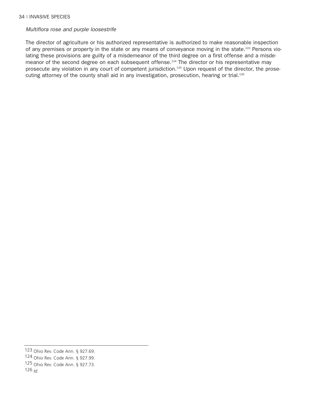#### Multiflora rose and purple loosestrife

The director of agriculture or his authorized representative is authorized to make reasonable inspection of any premises or property in the state or any means of conveyance moving in the state.<sup>123</sup> Persons violating these provisions are guilty of a misdemeanor of the third degree on a first offense and a misdemeanor of the second degree on each subsequent offense.<sup>124</sup> The director or his representative may prosecute any violation in any court of competent jurisdiction.<sup>125</sup> Upon request of the director, the prosecuting attorney of the county shall aid in any investigation, prosecution, hearing or trial.<sup>126</sup>

<sup>123</sup> Ohio Rev. Code Ann. § 927.69.

<sup>124</sup> Ohio Rev. Code Ann. § 927.99.

<sup>125</sup> Ohio Rev. Code Ann. § 927.73.

<sup>126</sup> *Id.*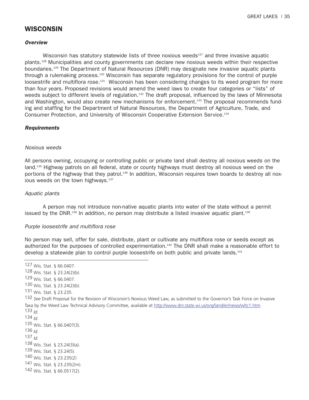#### WISCONSIN

#### **Overview**

Wisconsin has statutory statewide lists of three noxious weeds<sup>127</sup> and three invasive aquatic plants.128 Municipalities and county governments can declare new noxious weeds within their respective boundaries.129 The Department of Natural Resources (DNR) may designate new invasive aquatic plants through a rulemaking process.<sup>130</sup> Wisconsin has separate regulatory provisions for the control of purple loosestrife and multiflora rose.<sup>131</sup> Wisconsin has been considering changes to its weed program for more than four years. Proposed revisions would amend the weed laws to create four categories or "lists" of weeds subject to different levels of regulation.<sup>132</sup> The draft proposal, influenced by the laws of Minnesota and Washington, would also create new mechanisms for enforcement.<sup>133</sup> The proposal recommends funding and staffing for the Department of Natural Resources, the Department of Agriculture, Trade, and Consumer Protection, and University of Wisconsin Cooperative Extension Service.134

#### **Requirements**

#### Noxious weeds

All persons owning, occupying or controlling public or private land shall destroy all noxious weeds on the land.135 Highway patrols on all federal, state or county highways must destroy all noxious weed on the portions of the highway that they patrol.<sup>136</sup> In addition, Wisconsin requires town boards to destroy all noxious weeds on the town highways.<sup>137</sup>

#### Aquatic plants

A person may not introduce non-native aquatic plants into water of the state without a permit issued by the DNR.<sup>138</sup> In addition, no person may distribute a listed invasive aquatic plant.<sup>139</sup>

#### Purple loosestrife and multiflora rose

No person may sell, offer for sale, distribute, plant or cultivate any multiflora rose or seeds except as authorized for the purposes of controlled experimentation.140 The DNR shall make a reasonable effort to develop a statewide plan to control purple loosestrife on both public and private lands.<sup>141</sup>

<sup>127</sup> Wis. Stat. § 66.0407. 128 Wis. Stat. § 23.24(2)(b). 129 Wis. Stat. § 66.0407. 130 Wis. Stat. § 23.24(2)(b). 131 Wis. Stat. § 23.235. 132 *See* Draft Proposal for the Revision of Wisconsin's Noxious Weed Law, as submitted to the Governor's Task Force on Invasive Taxa by the Weed Law Technical Advisory Committee, available at http://www.dnr.state.wi.us/org/land/er/news/wltc1.htm. 133 *Id.* 134 *Id.* 135 Wis. Stat. § 66.0407(3). 136 *Id.* 137 *Id.* 138 Wis. Stat. § 23.24(3)(a). 139 Wis. Stat. § 23.24(5). 140 Wis. Stat. § 23.235(2) 141 Wis. Stat. § 23.235(2m). 142 Wis. Stat. § 66.0517(2).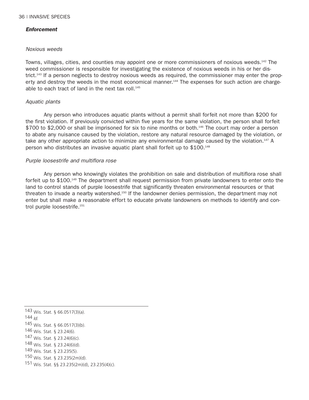#### **Enforcement**

#### Noxious weeds

Towns, villages, cities, and counties may appoint one or more commissioners of noxious weeds.142 The weed commissioner is responsible for investigating the existence of noxious weeds in his or her district.<sup>143</sup> If a person neglects to destroy noxious weeds as required, the commissioner may enter the property and destroy the weeds in the most economical manner.<sup>144</sup> The expenses for such action are chargeable to each tract of land in the next tax roll.<sup>145</sup>

#### Aquatic plants

Any person who introduces aquatic plants without a permit shall forfeit not more than \$200 for the first violation. If previously convicted within five years for the same violation, the person shall forfeit \$700 to \$2,000 or shall be imprisoned for six to nine months or both.<sup>146</sup> The court may order a person to abate any nuisance caused by the violation, restore any natural resource damaged by the violation, or take any other appropriate action to minimize any environmental damage caused by the violation.<sup>147</sup> A person who distributes an invasive aquatic plant shall forfeit up to \$100.<sup>148</sup>

#### Purple loosestrife and multiflora rose

Any person who knowingly violates the prohibition on sale and distribution of multiflora rose shall forfeit up to \$100.<sup>149</sup> The department shall request permission from private landowners to enter onto the land to control stands of purple loosestrife that significantly threaten environmental resources or that threaten to invade a nearby watershed.<sup>150</sup> If the landowner denies permission, the department may not enter but shall make a reasonable effort to educate private landowners on methods to identify and control purple loosestrife.<sup>151</sup>

 Wis. Stat. § 66.0517(3)(a). 144 *Id.* Wis. Stat. § 66.0517(3)(b). Wis. Stat. § 23.24(6). Wis. Stat. § 23.24(6)(c). Wis. Stat. § 23.24(6)(d). Wis. Stat. § 23.235(5). Wis. Stat. § 23.235(2m)(d). Wis. Stat. §§ 23.235(2m)(d), 23.235(4)(c).